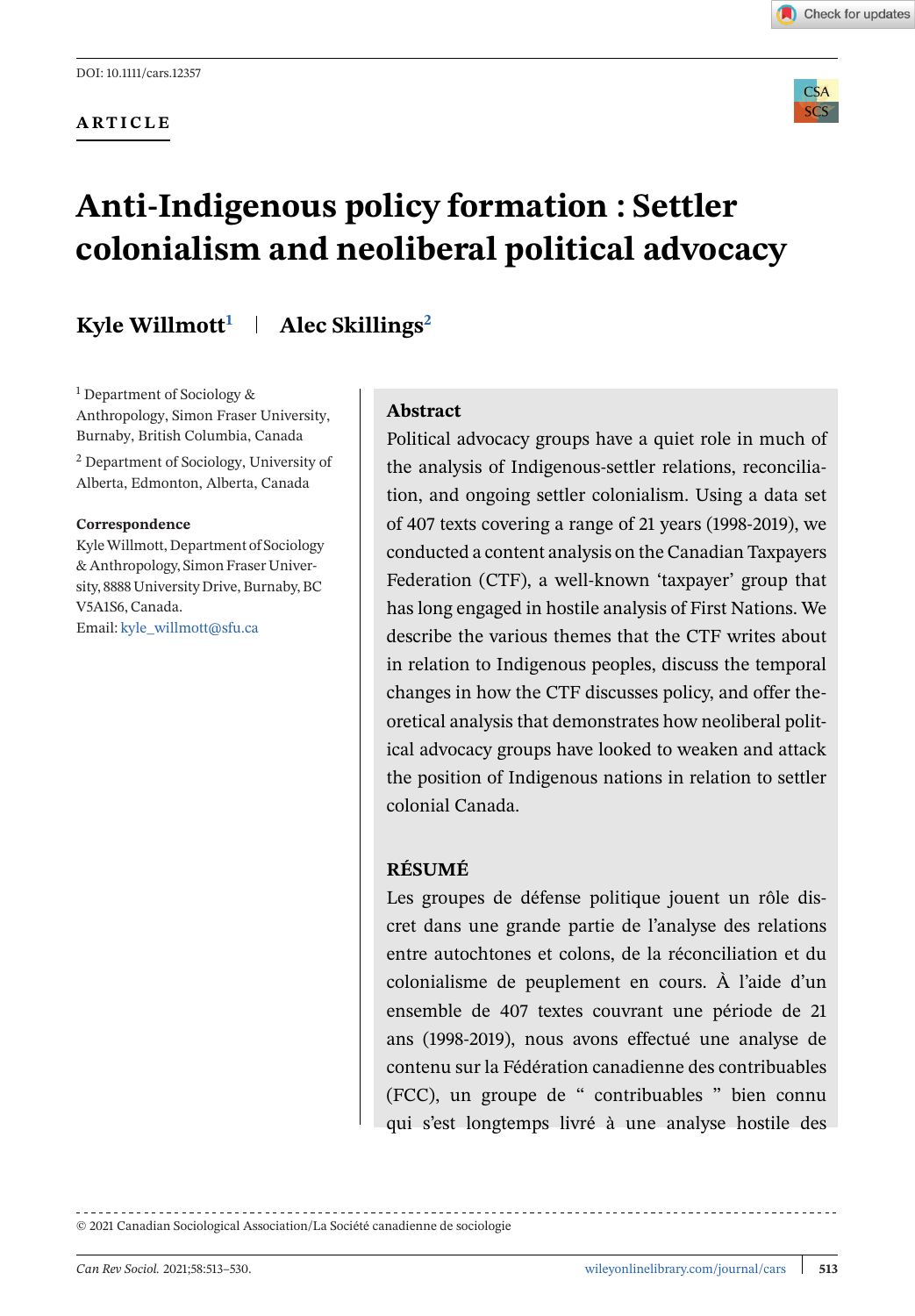**ARTICLE**





# **Anti-Indigenous policy formation : Settler colonialism and neoliberal political advocacy**

# **Kyle Willmott1 Alec Skillings2**

<sup>1</sup> Department of Sociology & Anthropology, Simon Fraser University, Burnaby, British Columbia, Canada <sup>2</sup> Department of Sociology, University of Alberta, Edmonton, Alberta, Canada

#### **Correspondence**

KyleWillmott, Department of Sociology & Anthropology, Simon Fraser University, 8888 University Drive, Burnaby, BC V5A1S6, Canada. Email: [kyle\\_willmott@sfu.ca](mailto:kyle_willmott@sfu.ca)

#### **Abstract**

Political advocacy groups have a quiet role in much of the analysis of Indigenous-settler relations, reconciliation, and ongoing settler colonialism. Using a data set of 407 texts covering a range of 21 years (1998-2019), we conducted a content analysis on the Canadian Taxpayers Federation (CTF), a well-known 'taxpayer' group that has long engaged in hostile analysis of First Nations. We describe the various themes that the CTF writes about in relation to Indigenous peoples, discuss the temporal changes in how the CTF discusses policy, and offer theoretical analysis that demonstrates how neoliberal political advocacy groups have looked to weaken and attack the position of Indigenous nations in relation to settler colonial Canada.

#### **RÉSUMÉ**

Les groupes de défense politique jouent un rôle discret dans une grande partie de l'analyse des relations entre autochtones et colons, de la réconciliation et du colonialisme de peuplement en cours. À l'aide d'un ensemble de 407 textes couvrant une période de 21 ans (1998-2019), nous avons effectué une analyse de contenu sur la Fédération canadienne des contribuables (FCC), un groupe de " contribuables " bien connu qui s'est longtemps livré à une analyse hostile des

© 2021 Canadian Sociological Association/La Société canadienne de sociologie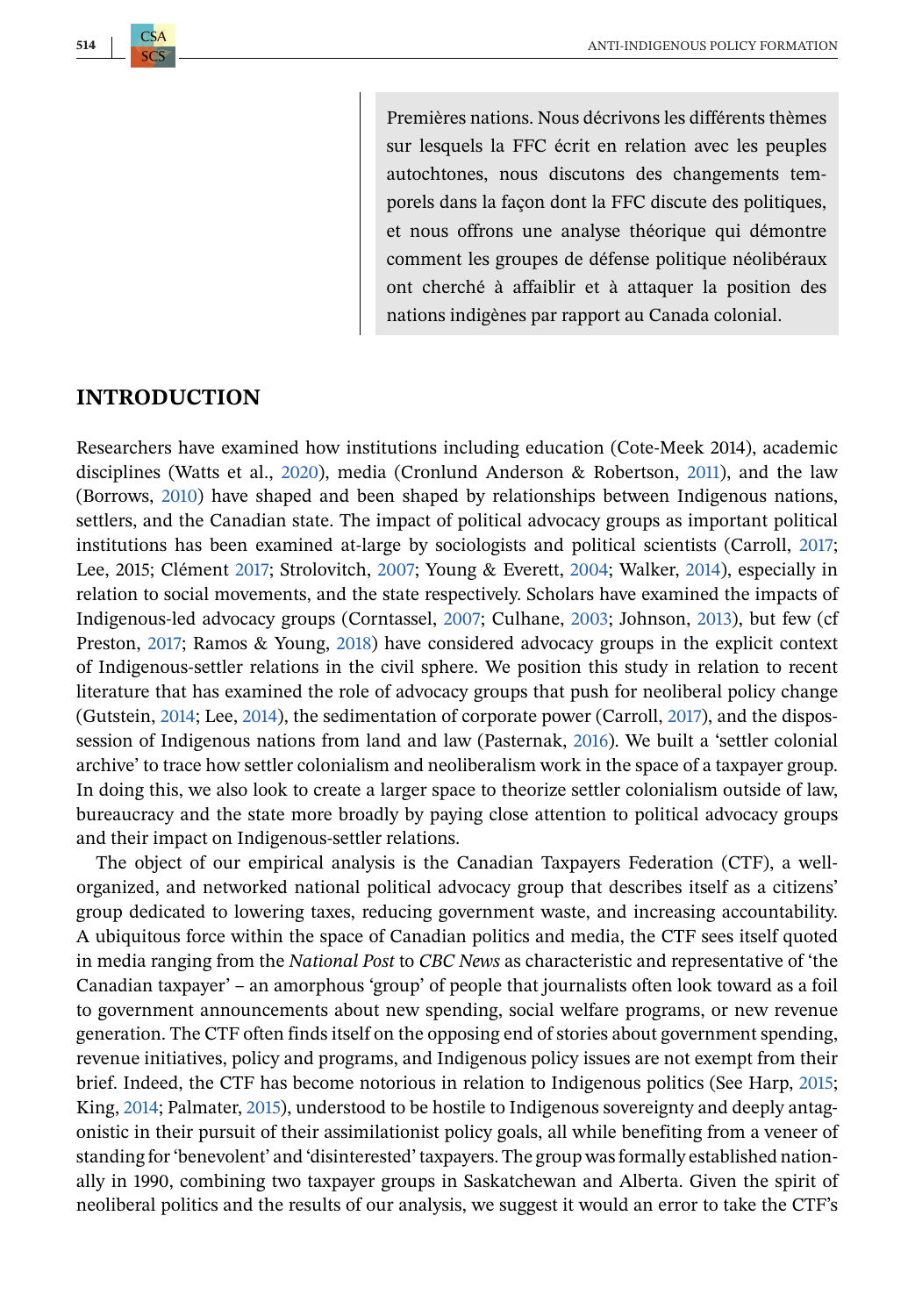Premières nations. Nous décrivons les différents thèmes sur lesquels la FFC écrit en relation avec les peuples autochtones, nous discutons des changements temporels dans la façon dont la FFC discute des politiques, et nous offrons une analyse théorique qui démontre comment les groupes de défense politique néolibéraux ont cherché à affaiblir et à attaquer la position des nations indigènes par rapport au Canada colonial.

#### **INTRODUCTION**

Researchers have examined how institutions including education (Cote-Meek 2014), academic disciplines (Watts et al., [2020\)](#page-17-0), media (Cronlund Anderson & Robertson, [2011\)](#page-15-0), and the law (Borrows, [2010\)](#page-14-0) have shaped and been shaped by relationships between Indigenous nations, settlers, and the Canadian state. The impact of political advocacy groups as important political institutions has been examined at-large by sociologists and political scientists (Carroll, [2017;](#page-14-0) Lee, 2015; Clément [2017;](#page-14-0) Strolovitch, [2007;](#page-17-0) Young & Everett, [2004;](#page-17-0) Walker, [2014\)](#page-17-0), especially in relation to social movements, and the state respectively. Scholars have examined the impacts of Indigenous-led advocacy groups (Corntassel, [2007;](#page-15-0) Culhane, [2003;](#page-15-0) Johnson, [2013\)](#page-15-0), but few (cf Preston, [2017;](#page-16-0) Ramos & Young, [2018\)](#page-16-0) have considered advocacy groups in the explicit context of Indigenous-settler relations in the civil sphere. We position this study in relation to recent literature that has examined the role of advocacy groups that push for neoliberal policy change (Gutstein, [2014;](#page-15-0) Lee, [2014\)](#page-15-0), the sedimentation of corporate power (Carroll, [2017\)](#page-14-0), and the dispossession of Indigenous nations from land and law (Pasternak, [2016\)](#page-16-0). We built a 'settler colonial archive' to trace how settler colonialism and neoliberalism work in the space of a taxpayer group. In doing this, we also look to create a larger space to theorize settler colonialism outside of law, bureaucracy and the state more broadly by paying close attention to political advocacy groups and their impact on Indigenous-settler relations.

The object of our empirical analysis is the Canadian Taxpayers Federation (CTF), a wellorganized, and networked national political advocacy group that describes itself as a citizens' group dedicated to lowering taxes, reducing government waste, and increasing accountability. A ubiquitous force within the space of Canadian politics and media, the CTF sees itself quoted in media ranging from the *National Post* to *CBC News* as characteristic and representative of 'the Canadian taxpayer' – an amorphous 'group' of people that journalists often look toward as a foil to government announcements about new spending, social welfare programs, or new revenue generation. The CTF often finds itself on the opposing end of stories about government spending, revenue initiatives, policy and programs, and Indigenous policy issues are not exempt from their brief. Indeed, the CTF has become notorious in relation to Indigenous politics (See Harp, [2015;](#page-15-0) King, [2014;](#page-15-0) Palmater, [2015\)](#page-16-0), understood to be hostile to Indigenous sovereignty and deeply antagonistic in their pursuit of their assimilationist policy goals, all while benefiting from a veneer of standing for 'benevolent' and 'disinterested' taxpayers. The group was formally established nationally in 1990, combining two taxpayer groups in Saskatchewan and Alberta. Given the spirit of neoliberal politics and the results of our analysis, we suggest it would an error to take the CTF's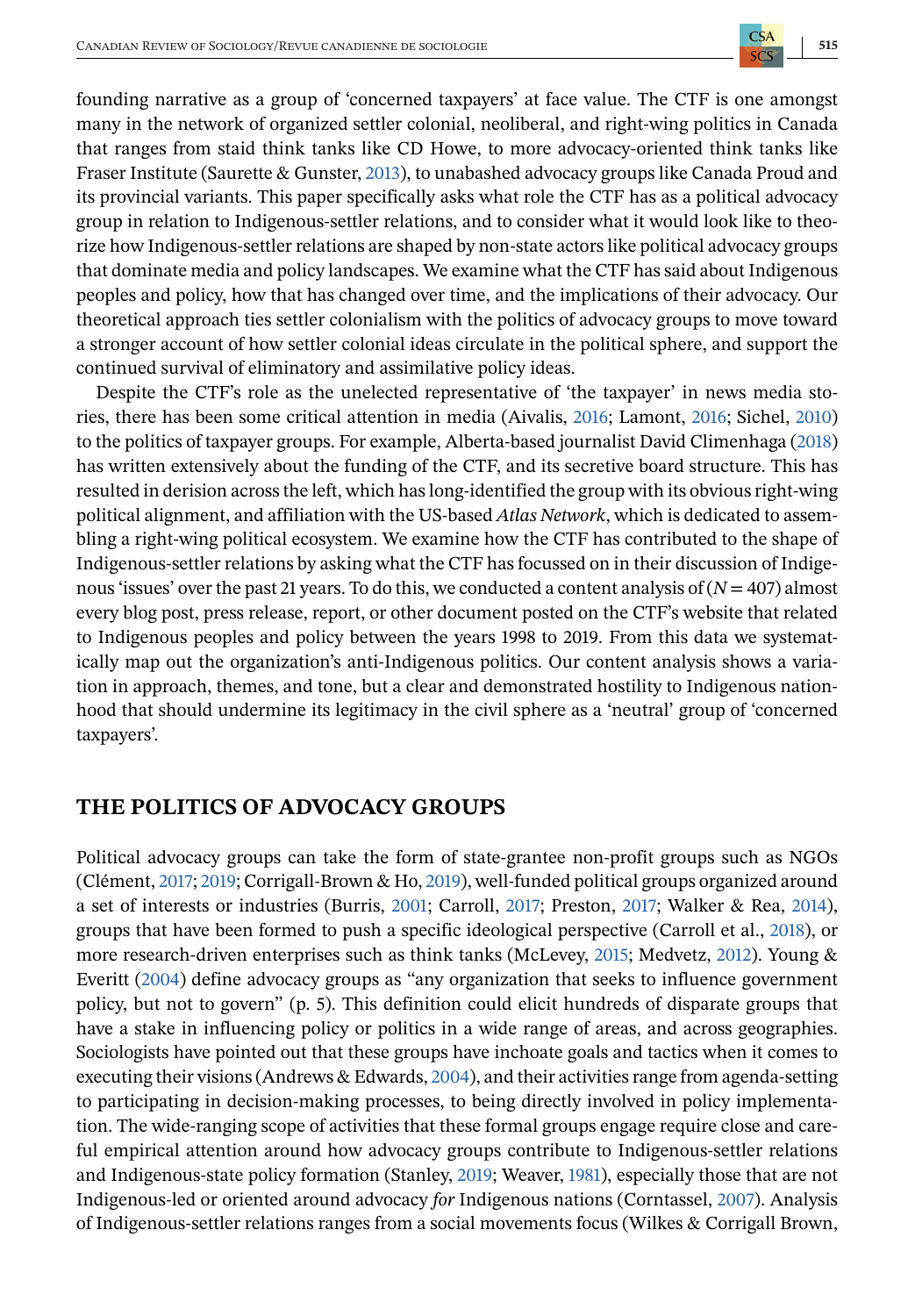Canadian Review of Sociology/Revue canadienne de sociologie **515** founding narrative as a group of 'concerned taxpayers' at face value. The CTF is one amongst many in the network of organized settler colonial, neoliberal, and right-wing politics in Canada that ranges from staid think tanks like CD Howe, to more advocacy-oriented think tanks like Fraser Institute (Saurette & Gunster, [2013\)](#page-16-0), to unabashed advocacy groups like Canada Proud and its provincial variants. This paper specifically asks what role the CTF has as a political advocacy group in relation to Indigenous-settler relations, and to consider what it would look like to theo-

rize how Indigenous-settler relations are shaped by non-state actors like political advocacy groups that dominate media and policy landscapes. We examine what the CTF has said about Indigenous peoples and policy, how that has changed over time, and the implications of their advocacy. Our theoretical approach ties settler colonialism with the politics of advocacy groups to move toward a stronger account of how settler colonial ideas circulate in the political sphere, and support the continued survival of eliminatory and assimilative policy ideas.

Despite the CTF's role as the unelected representative of 'the taxpayer' in news media stories, there has been some critical attention in media (Aivalis, [2016;](#page-14-0) Lamont, [2016;](#page-15-0) Sichel, [2010\)](#page-17-0) to the politics of taxpayer groups. For example, Alberta-based journalist David Climenhaga [\(2018\)](#page-15-0) has written extensively about the funding of the CTF, and its secretive board structure. This has resulted in derision across the left, which has long-identified the group with its obvious right-wing political alignment, and affiliation with the US-based *Atlas Network*, which is dedicated to assembling a right-wing political ecosystem. We examine how the CTF has contributed to the shape of Indigenous-settler relations by asking what the CTF has focussed on in their discussion of Indigenous 'issues' over the past 21 years. To do this, we conducted a content analysis of  $(N = 407)$  almost every blog post, press release, report, or other document posted on the CTF's website that related to Indigenous peoples and policy between the years 1998 to 2019. From this data we systematically map out the organization's anti-Indigenous politics. Our content analysis shows a variation in approach, themes, and tone, but a clear and demonstrated hostility to Indigenous nationhood that should undermine its legitimacy in the civil sphere as a 'neutral' group of 'concerned taxpayers'.

# **THE POLITICS OF ADVOCACY GROUPS**

Political advocacy groups can take the form of state-grantee non-profit groups such as NGOs (Clément, [2017;](#page-14-0) [2019;](#page-14-0) Corrigall-Brown & Ho, [2019\)](#page-15-0), well-funded political groups organized around a set of interests or industries (Burris, [2001;](#page-14-0) Carroll, [2017;](#page-14-0) Preston, [2017;](#page-16-0) Walker & Rea, [2014\)](#page-17-0), groups that have been formed to push a specific ideological perspective (Carroll et al., [2018\)](#page-14-0), or more research-driven enterprises such as think tanks (McLevey, [2015;](#page-16-0) Medvetz, [2012\)](#page-16-0). Young & Everitt [\(2004\)](#page-17-0) define advocacy groups as "any organization that seeks to influence government policy, but not to govern" (p. 5). This definition could elicit hundreds of disparate groups that have a stake in influencing policy or politics in a wide range of areas, and across geographies. Sociologists have pointed out that these groups have inchoate goals and tactics when it comes to executing their visions (Andrews & Edwards, [2004\)](#page-14-0), and their activities range from agenda-setting to participating in decision-making processes, to being directly involved in policy implementation. The wide-ranging scope of activities that these formal groups engage require close and careful empirical attention around how advocacy groups contribute to Indigenous-settler relations and Indigenous-state policy formation (Stanley, [2019;](#page-17-0) Weaver, [1981\)](#page-17-0), especially those that are not Indigenous-led or oriented around advocacy *for* Indigenous nations (Corntassel, [2007\)](#page-15-0). Analysis of Indigenous-settler relations ranges from a social movements focus (Wilkes & Corrigall Brown,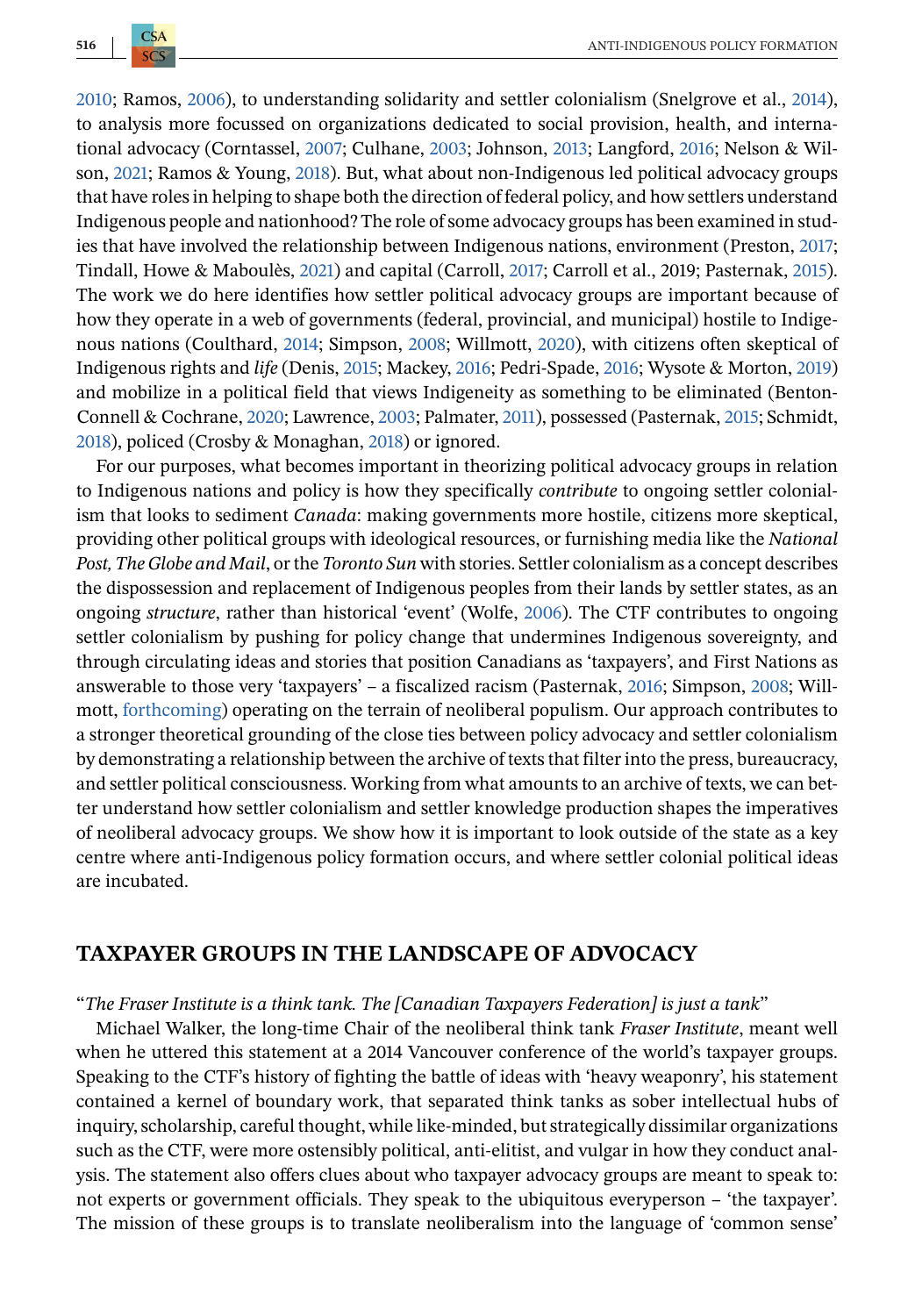$CSA$ 

[2010;](#page-17-0) Ramos, [2006\)](#page-16-0), to understanding solidarity and settler colonialism (Snelgrove et al., [2014\)](#page-17-0), to analysis more focussed on organizations dedicated to social provision, health, and international advocacy (Corntassel, [2007;](#page-15-0) Culhane, [2003;](#page-15-0) Johnson, [2013;](#page-15-0) Langford, [2016;](#page-15-0) Nelson & Wilson, [2021;](#page-16-0) Ramos & Young, [2018\)](#page-16-0). But, what about non-Indigenous led political advocacy groups that have roles in helping to shape both the direction of federal policy, and how settlers understand Indigenous people and nationhood? The role of some advocacy groups has been examined in studies that have involved the relationship between Indigenous nations, environment (Preston, [2017;](#page-16-0) Tindall, Howe & Maboulès, [2021\)](#page-17-0) and capital (Carroll, [2017;](#page-14-0) Carroll et al., 2019; Pasternak, [2015\)](#page-16-0). The work we do here identifies how settler political advocacy groups are important because of how they operate in a web of governments (federal, provincial, and municipal) hostile to Indigenous nations (Coulthard, [2014;](#page-15-0) Simpson, [2008;](#page-17-0) Willmott, [2020\)](#page-17-0), with citizens often skeptical of Indigenous rights and *life* (Denis, [2015;](#page-15-0) Mackey, [2016;](#page-16-0) Pedri-Spade, [2016;](#page-16-0) Wysote & Morton, [2019\)](#page-17-0) and mobilize in a political field that views Indigeneity as something to be eliminated (Benton-Connell & Cochrane, [2020;](#page-14-0) Lawrence, [2003;](#page-15-0) Palmater, [2011\)](#page-16-0), possessed (Pasternak, [2015;](#page-16-0) Schmidt, [2018\)](#page-16-0), policed (Crosby & Monaghan, [2018\)](#page-15-0) or ignored.

For our purposes, what becomes important in theorizing political advocacy groups in relation to Indigenous nations and policy is how they specifically *contribute* to ongoing settler colonialism that looks to sediment *Canada*: making governments more hostile, citizens more skeptical, providing other political groups with ideological resources, or furnishing media like the *National Post, The Globe and Mail*, or the *Toronto Sun* with stories. Settler colonialism as a concept describes the dispossession and replacement of Indigenous peoples from their lands by settler states, as an ongoing *structure*, rather than historical 'event' (Wolfe, [2006\)](#page-17-0). The CTF contributes to ongoing settler colonialism by pushing for policy change that undermines Indigenous sovereignty, and through circulating ideas and stories that position Canadians as 'taxpayers', and First Nations as answerable to those very 'taxpayers' – a fiscalized racism (Pasternak, [2016;](#page-16-0) Simpson, [2008;](#page-17-0) Willmott, [forthcoming\)](#page-17-0) operating on the terrain of neoliberal populism. Our approach contributes to a stronger theoretical grounding of the close ties between policy advocacy and settler colonialism by demonstrating a relationship between the archive of texts that filter into the press, bureaucracy, and settler political consciousness. Working from what amounts to an archive of texts, we can better understand how settler colonialism and settler knowledge production shapes the imperatives of neoliberal advocacy groups. We show how it is important to look outside of the state as a key centre where anti-Indigenous policy formation occurs, and where settler colonial political ideas are incubated.

## **TAXPAYER GROUPS IN THE LANDSCAPE OF ADVOCACY**

#### "*The Fraser Institute is a think tank. The [Canadian Taxpayers Federation] is just a tank*"

Michael Walker, the long-time Chair of the neoliberal think tank *Fraser Institute*, meant well when he uttered this statement at a 2014 Vancouver conference of the world's taxpayer groups. Speaking to the CTF's history of fighting the battle of ideas with 'heavy weaponry', his statement contained a kernel of boundary work, that separated think tanks as sober intellectual hubs of inquiry, scholarship, careful thought, while like-minded, but strategically dissimilar organizations such as the CTF, were more ostensibly political, anti-elitist, and vulgar in how they conduct analysis. The statement also offers clues about who taxpayer advocacy groups are meant to speak to: not experts or government officials. They speak to the ubiquitous everyperson – 'the taxpayer'. The mission of these groups is to translate neoliberalism into the language of 'common sense'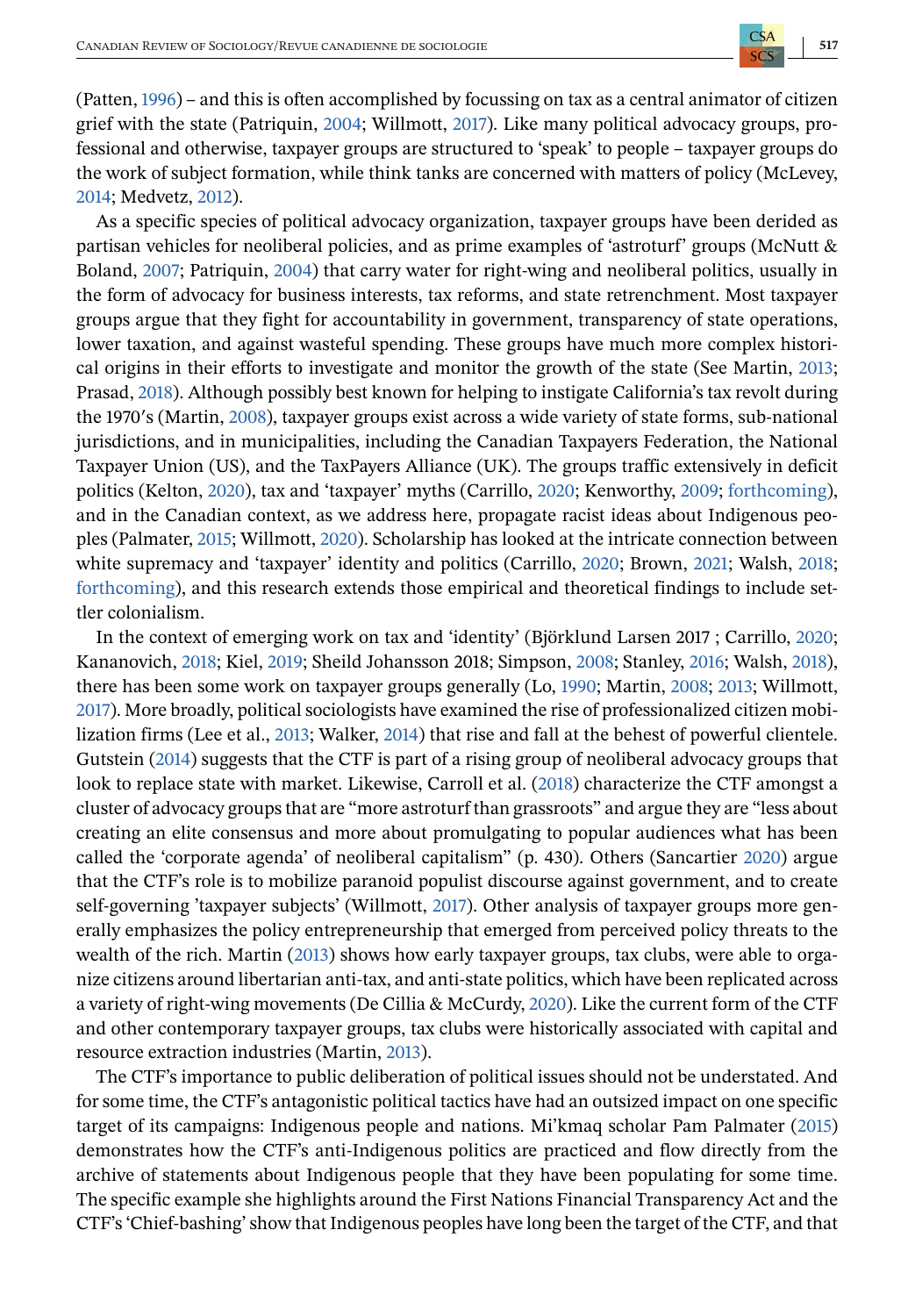(Patten, [1996\)](#page-16-0) – and this is often accomplished by focussing on tax as a central animator of citizen grief with the state (Patriquin, [2004;](#page-16-0) Willmott, [2017\)](#page-17-0). Like many political advocacy groups, professional and otherwise, taxpayer groups are structured to 'speak' to people – taxpayer groups do the work of subject formation, while think tanks are concerned with matters of policy (McLevey, [2014;](#page-16-0) Medvetz, [2012\)](#page-16-0).

As a specific species of political advocacy organization, taxpayer groups have been derided as partisan vehicles for neoliberal policies, and as prime examples of 'astroturf' groups (McNutt & Boland, [2007;](#page-16-0) Patriquin, [2004\)](#page-16-0) that carry water for right-wing and neoliberal politics, usually in the form of advocacy for business interests, tax reforms, and state retrenchment. Most taxpayer groups argue that they fight for accountability in government, transparency of state operations, lower taxation, and against wasteful spending. These groups have much more complex historical origins in their efforts to investigate and monitor the growth of the state (See Martin, [2013;](#page-16-0) Prasad, [2018\)](#page-16-0). Although possibly best known for helping to instigate California's tax revolt during the 1970′s (Martin, [2008\)](#page-16-0), taxpayer groups exist across a wide variety of state forms, sub-national jurisdictions, and in municipalities, including the Canadian Taxpayers Federation, the National Taxpayer Union (US), and the TaxPayers Alliance (UK). The groups traffic extensively in deficit politics (Kelton, [2020\)](#page-15-0), tax and 'taxpayer' myths (Carrillo, [2020;](#page-14-0) Kenworthy, [2009;](#page-15-0) [forthcoming\)](#page-17-0), and in the Canadian context, as we address here, propagate racist ideas about Indigenous peoples (Palmater, [2015;](#page-16-0) Willmott, [2020\)](#page-17-0). Scholarship has looked at the intricate connection between white supremacy and 'taxpayer' identity and politics (Carrillo, [2020;](#page-14-0) Brown, [2021;](#page-14-0) Walsh, [2018;](#page-17-0) [forthcoming\)](#page-17-0), and this research extends those empirical and theoretical findings to include settler colonialism.

In the context of emerging work on tax and 'identity' (Björklund Larsen 2017 ; Carrillo, [2020;](#page-14-0) Kananovich, [2018;](#page-15-0) Kiel, [2019;](#page-15-0) Sheild Johansson 2018; Simpson, [2008;](#page-17-0) Stanley, [2016;](#page-17-0) Walsh, [2018\)](#page-17-0), there has been some work on taxpayer groups generally (Lo, [1990;](#page-16-0) Martin, [2008;](#page-16-0) [2013;](#page-16-0) Willmott, [2017\)](#page-17-0). More broadly, political sociologists have examined the rise of professionalized citizen mobilization firms (Lee et al., [2013;](#page-16-0) Walker, [2014\)](#page-17-0) that rise and fall at the behest of powerful clientele. Gutstein [\(2014\)](#page-15-0) suggests that the CTF is part of a rising group of neoliberal advocacy groups that look to replace state with market. Likewise, Carroll et al. [\(2018\)](#page-14-0) characterize the CTF amongst a cluster of advocacy groups that are "more astroturf than grassroots" and argue they are "less about creating an elite consensus and more about promulgating to popular audiences what has been called the 'corporate agenda' of neoliberal capitalism" (p. 430). Others (Sancartier [2020\)](#page-16-0) argue that the CTF's role is to mobilize paranoid populist discourse against government, and to create self-governing 'taxpayer subjects' (Willmott, [2017\)](#page-17-0). Other analysis of taxpayer groups more generally emphasizes the policy entrepreneurship that emerged from perceived policy threats to the wealth of the rich. Martin [\(2013\)](#page-16-0) shows how early taxpayer groups, tax clubs, were able to organize citizens around libertarian anti-tax, and anti-state politics, which have been replicated across a variety of right-wing movements (De Cillia & McCurdy, [2020\)](#page-15-0). Like the current form of the CTF and other contemporary taxpayer groups, tax clubs were historically associated with capital and resource extraction industries (Martin, [2013\)](#page-16-0).

The CTF's importance to public deliberation of political issues should not be understated. And for some time, the CTF's antagonistic political tactics have had an outsized impact on one specific target of its campaigns: Indigenous people and nations. Mi'kmaq scholar Pam Palmater [\(2015\)](#page-16-0) demonstrates how the CTF's anti-Indigenous politics are practiced and flow directly from the archive of statements about Indigenous people that they have been populating for some time. The specific example she highlights around the First Nations Financial Transparency Act and the CTF's 'Chief-bashing' show that Indigenous peoples have long been the target of the CTF, and that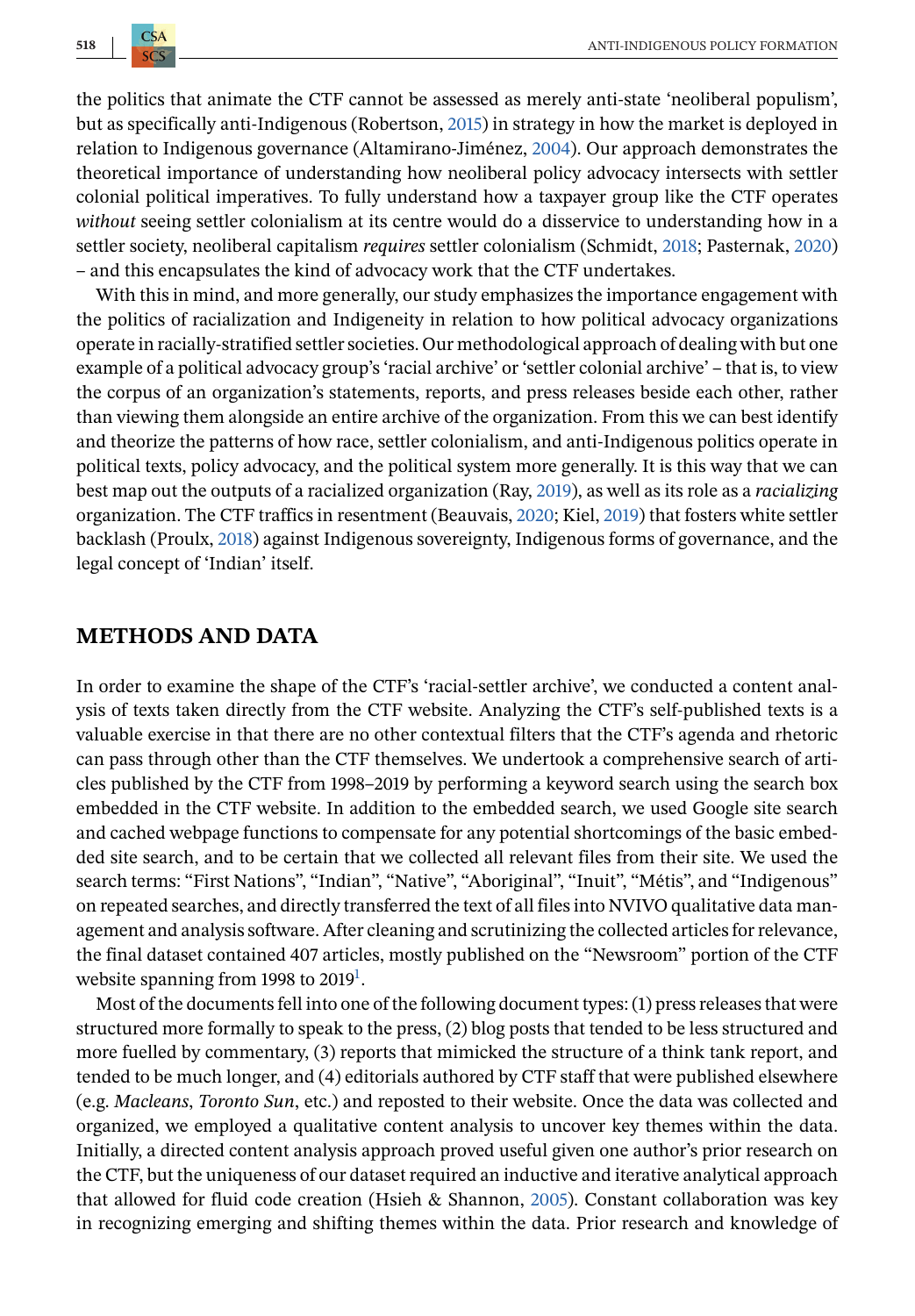the politics that animate the CTF cannot be assessed as merely anti-state 'neoliberal populism', but as specifically anti-Indigenous (Robertson, [2015\)](#page-16-0) in strategy in how the market is deployed in relation to Indigenous governance (Altamirano-Jiménez, [2004\)](#page-14-0). Our approach demonstrates the theoretical importance of understanding how neoliberal policy advocacy intersects with settler colonial political imperatives. To fully understand how a taxpayer group like the CTF operates *without* seeing settler colonialism at its centre would do a disservice to understanding how in a settler society, neoliberal capitalism *requires* settler colonialism (Schmidt, [2018;](#page-16-0) Pasternak, [2020\)](#page-16-0) – and this encapsulates the kind of advocacy work that the CTF undertakes.

With this in mind, and more generally, our study emphasizes the importance engagement with the politics of racialization and Indigeneity in relation to how political advocacy organizations operate in racially-stratified settler societies. Our methodological approach of dealing with but one example of a political advocacy group's 'racial archive' or 'settler colonial archive' – that is, to view the corpus of an organization's statements, reports, and press releases beside each other, rather than viewing them alongside an entire archive of the organization. From this we can best identify and theorize the patterns of how race, settler colonialism, and anti-Indigenous politics operate in political texts, policy advocacy, and the political system more generally. It is this way that we can best map out the outputs of a racialized organization (Ray, [2019\)](#page-16-0), as well as its role as a *racializing* organization. The CTF traffics in resentment (Beauvais, [2020;](#page-14-0) Kiel, [2019\)](#page-15-0) that fosters white settler backlash (Proulx, [2018\)](#page-16-0) against Indigenous sovereignty, Indigenous forms of governance, and the legal concept of 'Indian' itself.

#### **METHODS AND DATA**

In order to examine the shape of the CTF's 'racial-settler archive', we conducted a content analysis of texts taken directly from the CTF website. Analyzing the CTF's self-published texts is a valuable exercise in that there are no other contextual filters that the CTF's agenda and rhetoric can pass through other than the CTF themselves. We undertook a comprehensive search of articles published by the CTF from 1998–2019 by performing a keyword search using the search box embedded in the CTF website. In addition to the embedded search, we used Google site search and cached webpage functions to compensate for any potential shortcomings of the basic embedded site search, and to be certain that we collected all relevant files from their site. We used the search terms: "First Nations", "Indian", "Native", "Aboriginal", "Inuit", "Métis", and "Indigenous" on repeated searches, and directly transferred the text of all files into NVIVO qualitative data management and analysis software. After cleaning and scrutinizing the collected articles for relevance, the final dataset contained 407 articles, mostly published on the "Newsroom" portion of the CTF website spanning from 1[9](#page-14-0)98 to 2019 $^{\rm l}$ .

Most of the documents fell into one of the following document types: (1) press releases that were structured more formally to speak to the press, (2) blog posts that tended to be less structured and more fuelled by commentary, (3) reports that mimicked the structure of a think tank report, and tended to be much longer, and (4) editorials authored by CTF staff that were published elsewhere (e.g. *Macleans*, *Toronto Sun*, etc.) and reposted to their website. Once the data was collected and organized, we employed a qualitative content analysis to uncover key themes within the data. Initially, a directed content analysis approach proved useful given one author's prior research on the CTF, but the uniqueness of our dataset required an inductive and iterative analytical approach that allowed for fluid code creation (Hsieh & Shannon, [2005\)](#page-15-0). Constant collaboration was key in recognizing emerging and shifting themes within the data. Prior research and knowledge of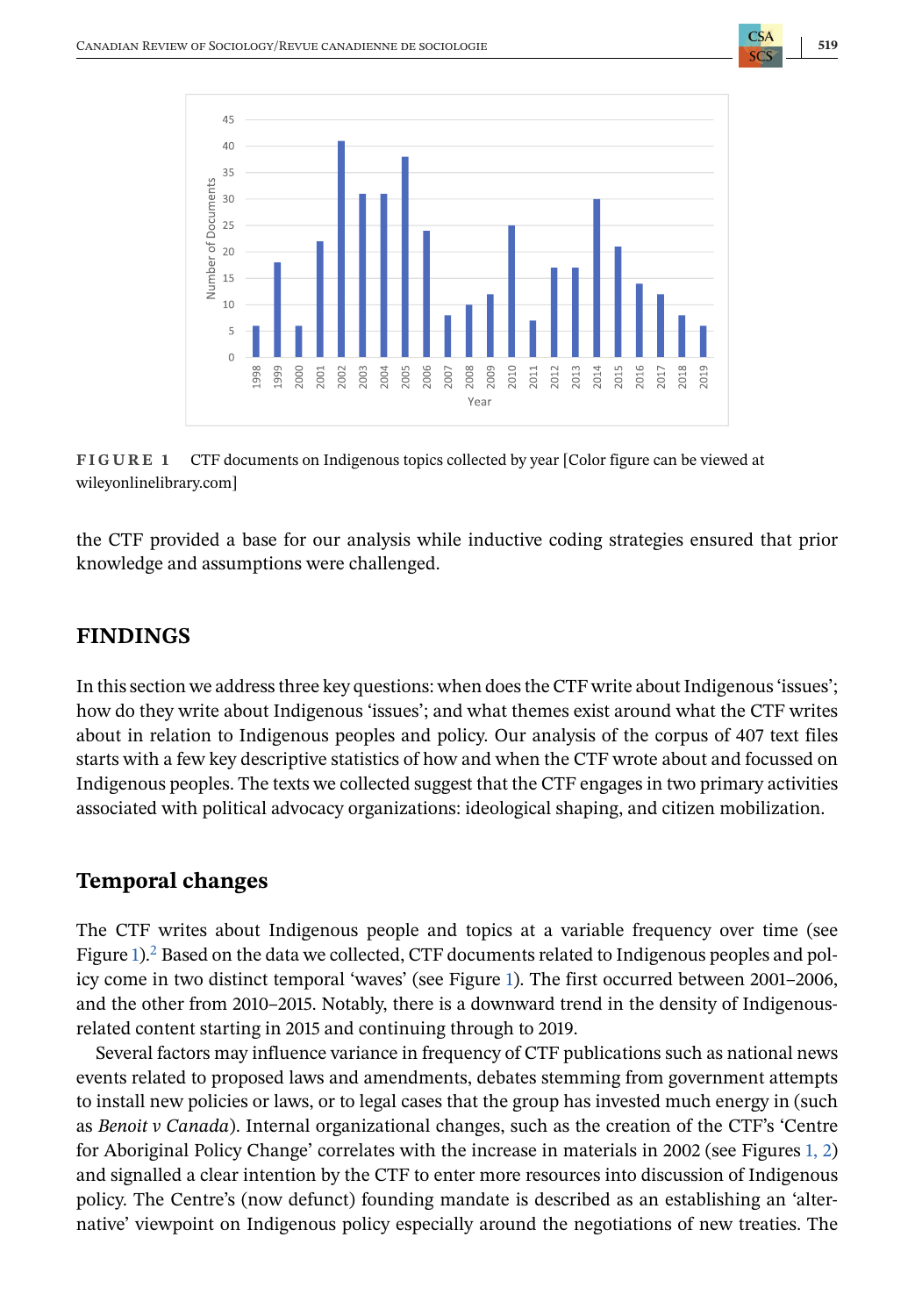



**FIGURE 1** CTF documents on Indigenous topics collected by year [Color figure can be viewed at wileyonlinelibrary.com]

the CTF provided a base for our analysis while inductive coding strategies ensured that prior knowledge and assumptions were challenged.

# **FINDINGS**

In this section we address three key questions: when does the CTF write about Indigenous 'issues'; how do they write about Indigenous 'issues'; and what themes exist around what the CTF writes about in relation to Indigenous peoples and policy. Our analysis of the corpus of 407 text files starts with a few key descriptive statistics of how and when the CTF wrote about and focussed on Indigenous peoples. The texts we collected suggest that the CTF engages in two primary activities associated with political advocacy organizations: ideological shaping, and citizen mobilization.

# **Temporal changes**

The CTF writes about Indigenous people and topics at a variable frequency over time (see Figure 1)[.](#page-14-0)<sup>2</sup> Based on the data we collected, CTF documents related to Indigenous peoples and policy come in two distinct temporal 'waves' (see Figure 1). The first occurred between 2001–2006, and the other from 2010–2015. Notably, there is a downward trend in the density of Indigenousrelated content starting in 2015 and continuing through to 2019.

Several factors may influence variance in frequency of CTF publications such as national news events related to proposed laws and amendments, debates stemming from government attempts to install new policies or laws, or to legal cases that the group has invested much energy in (such as *Benoit v Canada*). Internal organizational changes, such as the creation of the CTF's 'Centre for Aboriginal Policy Change' correlates with the increase in materials in 2002 (see Figures 1, 2) and signalled a clear intention by the CTF to enter more resources into discussion of Indigenous policy. The Centre's (now defunct) founding mandate is described as an establishing an 'alternative' viewpoint on Indigenous policy especially around the negotiations of new treaties. The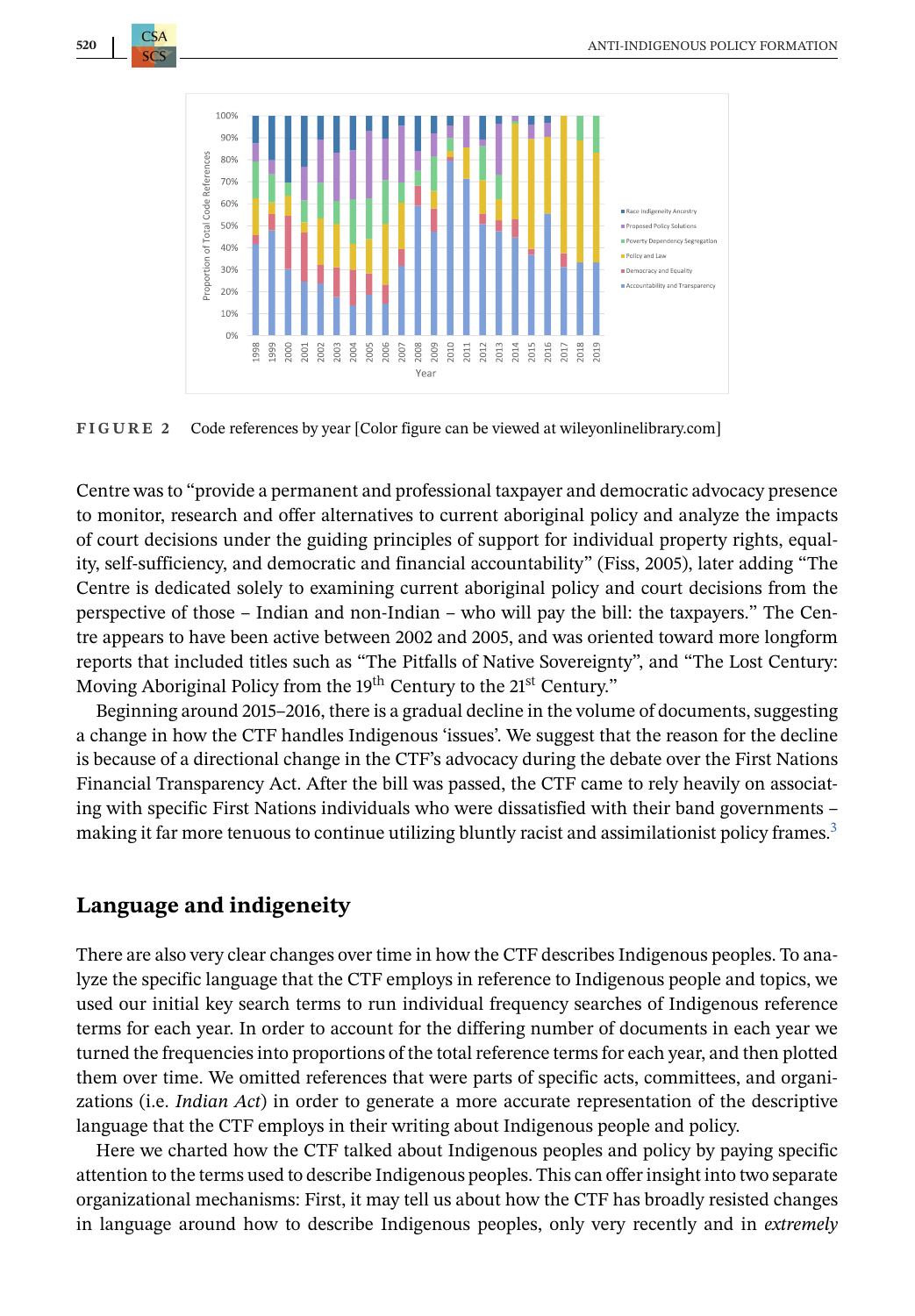<span id="page-7-0"></span>



**FIGURE 2** Code references by year [Color figure can be viewed at wileyonlinelibrary.com]

Centre was to "provide a permanent and professional taxpayer and democratic advocacy presence to monitor, research and offer alternatives to current aboriginal policy and analyze the impacts of court decisions under the guiding principles of support for individual property rights, equality, self-sufficiency, and democratic and financial accountability" (Fiss, 2005), later adding "The Centre is dedicated solely to examining current aboriginal policy and court decisions from the perspective of those – Indian and non-Indian – who will pay the bill: the taxpayers." The Centre appears to have been active between 2002 and 2005, and was oriented toward more longform reports that included titles such as "The Pitfalls of Native Sovereignty", and "The Lost Century: Moving Aboriginal Policy from the 19<sup>th</sup> Century to the 21<sup>st</sup> Century."

Beginning around 2015–2016, there is a gradual decline in the volume of documents, suggesting a change in how the CTF handles Indigenous 'issues'. We suggest that the reason for the decline is because of a directional change in the CTF's advocacy during the debate over the First Nations Financial Transparency Act. After the bill was passed, the CTF came to rely heavily on associating with specific First Nations individuals who were dissatisfied with their band governments – making it far more tenuous to continue utilizing bluntly racist and assimilationist policy frames[.](#page-14-0)<sup>3</sup>

# **Language and indigeneity**

There are also very clear changes over time in how the CTF describes Indigenous peoples. To analyze the specific language that the CTF employs in reference to Indigenous people and topics, we used our initial key search terms to run individual frequency searches of Indigenous reference terms for each year. In order to account for the differing number of documents in each year we turned the frequencies into proportions of the total reference terms for each year, and then plotted them over time. We omitted references that were parts of specific acts, committees, and organizations (i.e. *Indian Act*) in order to generate a more accurate representation of the descriptive language that the CTF employs in their writing about Indigenous people and policy.

Here we charted how the CTF talked about Indigenous peoples and policy by paying specific attention to the terms used to describe Indigenous peoples. This can offer insight into two separate organizational mechanisms: First, it may tell us about how the CTF has broadly resisted changes in language around how to describe Indigenous peoples, only very recently and in *extremely*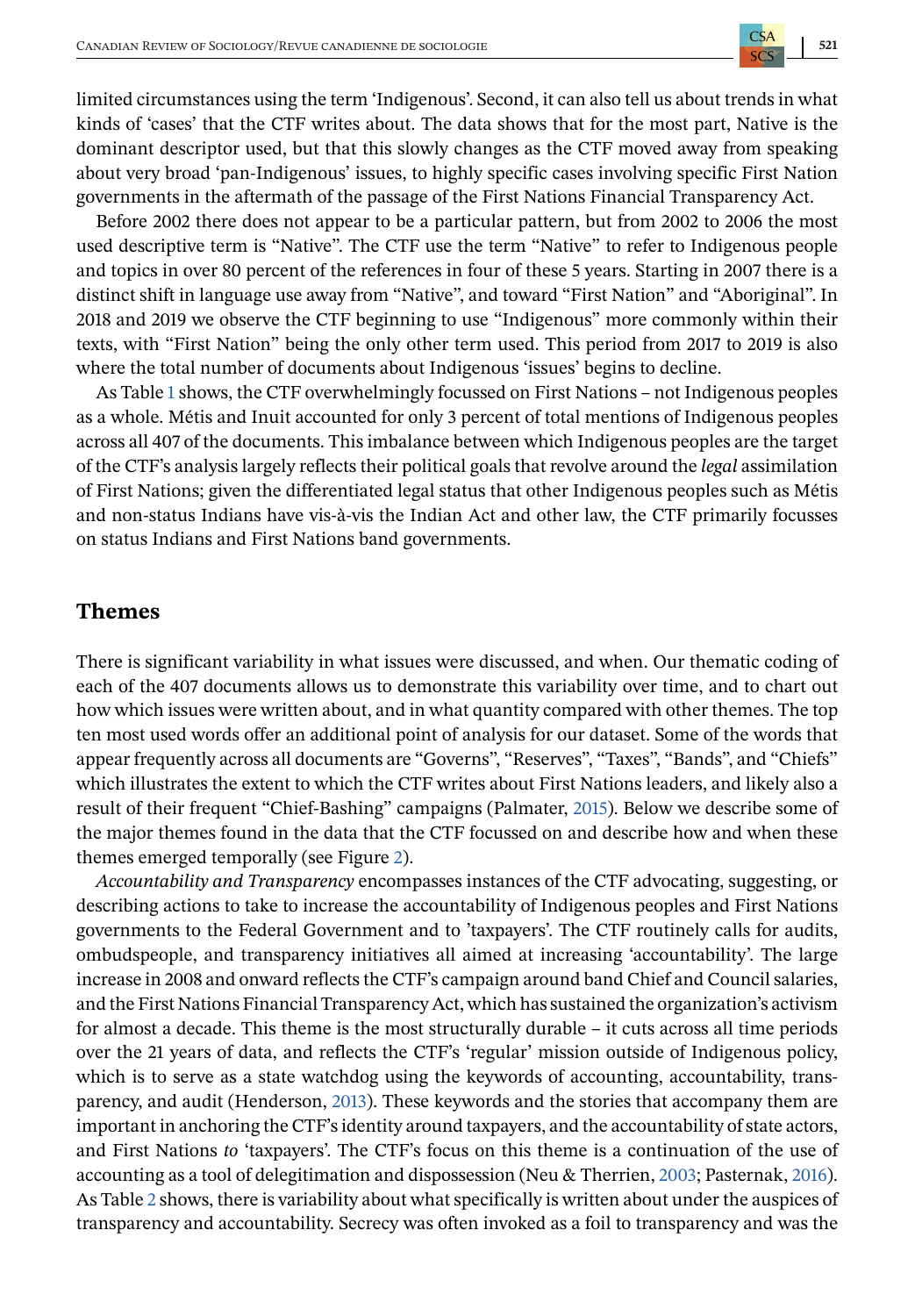limited circumstances using the term 'Indigenous'. Second, it can also tell us about trends in what kinds of 'cases' that the CTF writes about. The data shows that for the most part, Native is the dominant descriptor used, but that this slowly changes as the CTF moved away from speaking about very broad 'pan-Indigenous' issues, to highly specific cases involving specific First Nation governments in the aftermath of the passage of the First Nations Financial Transparency Act.

Before 2002 there does not appear to be a particular pattern, but from 2002 to 2006 the most used descriptive term is "Native". The CTF use the term "Native" to refer to Indigenous people and topics in over 80 percent of the references in four of these 5 years. Starting in 2007 there is a distinct shift in language use away from "Native", and toward "First Nation" and "Aboriginal". In 2018 and 2019 we observe the CTF beginning to use "Indigenous" more commonly within their texts, with "First Nation" being the only other term used. This period from 2017 to 2019 is also where the total number of documents about Indigenous 'issues' begins to decline.

As Table [1](#page-9-0) shows, the CTF overwhelmingly focussed on First Nations – not Indigenous peoples as a whole. Métis and Inuit accounted for only 3 percent of total mentions of Indigenous peoples across all 407 of the documents. This imbalance between which Indigenous peoples are the target of the CTF's analysis largely reflects their political goals that revolve around the *legal* assimilation of First Nations; given the differentiated legal status that other Indigenous peoples such as Métis and non-status Indians have vis-à-vis the Indian Act and other law, the CTF primarily focusses on status Indians and First Nations band governments.

# **Themes**

There is significant variability in what issues were discussed, and when. Our thematic coding of each of the 407 documents allows us to demonstrate this variability over time, and to chart out how which issues were written about, and in what quantity compared with other themes. The top ten most used words offer an additional point of analysis for our dataset. Some of the words that appear frequently across all documents are "Governs", "Reserves", "Taxes", "Bands", and "Chiefs" which illustrates the extent to which the CTF writes about First Nations leaders, and likely also a result of their frequent "Chief-Bashing" campaigns (Palmater, [2015\)](#page-16-0). Below we describe some of the major themes found in the data that the CTF focussed on and describe how and when these themes emerged temporally (see Figure [2\)](#page-7-0).

*Accountability and Transparency* encompasses instances of the CTF advocating, suggesting, or describing actions to take to increase the accountability of Indigenous peoples and First Nations governments to the Federal Government and to 'taxpayers'. The CTF routinely calls for audits, ombudspeople, and transparency initiatives all aimed at increasing 'accountability'. The large increase in 2008 and onward reflects the CTF's campaign around band Chief and Council salaries, and the First Nations Financial Transparency Act, which has sustained the organization's activism for almost a decade. This theme is the most structurally durable – it cuts across all time periods over the 21 years of data, and reflects the CTF's 'regular' mission outside of Indigenous policy, which is to serve as a state watchdog using the keywords of accounting, accountability, transparency, and audit (Henderson, [2013\)](#page-15-0). These keywords and the stories that accompany them are important in anchoring the CTF's identity around taxpayers, and the accountability of state actors, and First Nations *to* 'taxpayers'. The CTF's focus on this theme is a continuation of the use of accounting as a tool of delegitimation and dispossession (Neu & Therrien, [2003;](#page-16-0) Pasternak, [2016\)](#page-16-0). As Table [2](#page-9-0) shows, there is variability about what specifically is written about under the auspices of transparency and accountability. Secrecy was often invoked as a foil to transparency and was the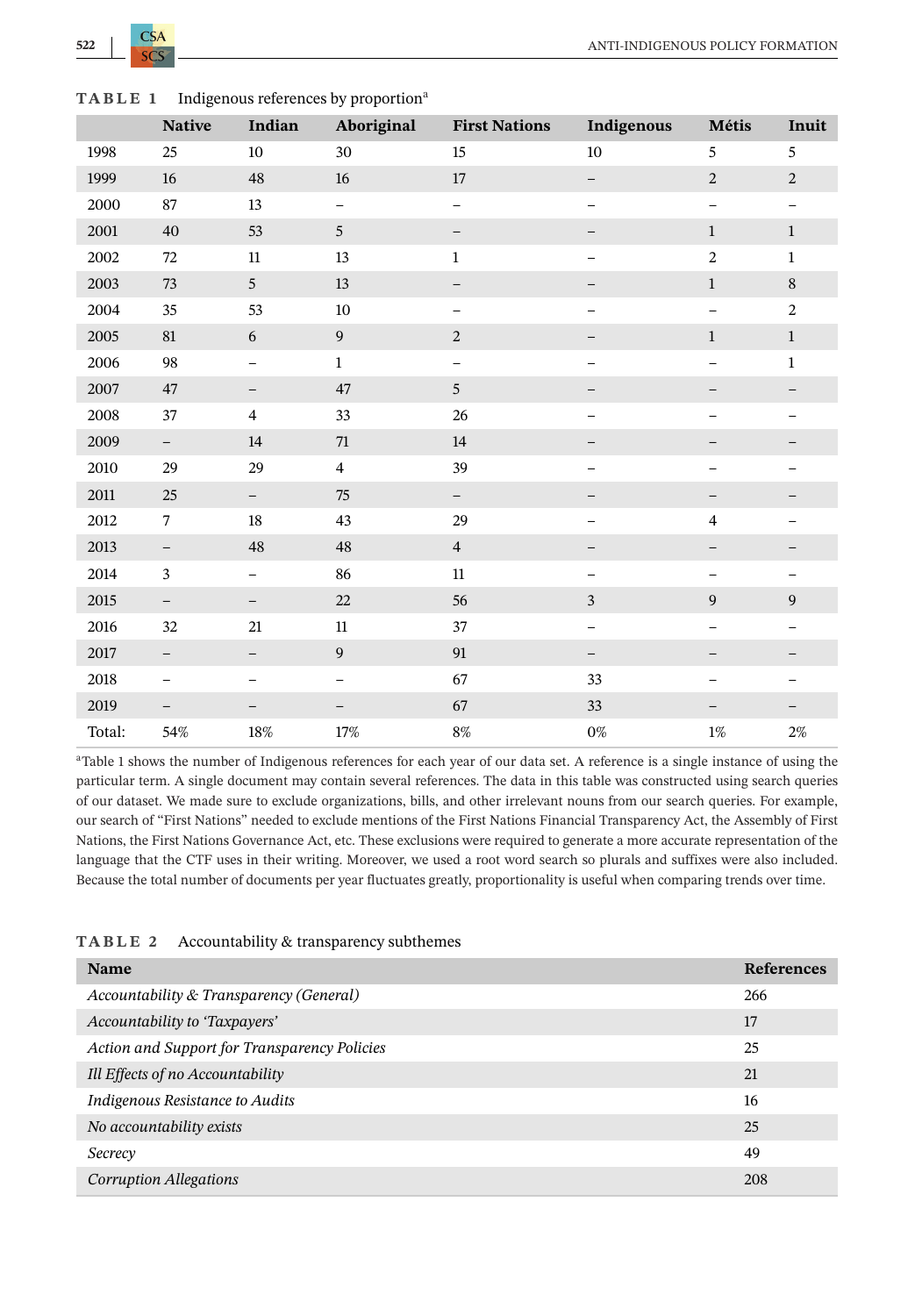<span id="page-9-0"></span>

| TABLE 1 | Indigenous references by proportion <sup>a</sup> |  |
|---------|--------------------------------------------------|--|
|---------|--------------------------------------------------|--|

|          | <b>Native</b>            | Indian                   | Aboriginal               | <b>First Nations</b>     | Indigenous               | Métis                    | Inuit                    |
|----------|--------------------------|--------------------------|--------------------------|--------------------------|--------------------------|--------------------------|--------------------------|
| 1998     | 25                       | 10                       | 30                       | 15                       | 10                       | 5                        | 5                        |
| 1999     | 16                       | 48                       | 16                       | 17                       | $\qquad \qquad -$        | $\overline{2}$           | $\sqrt{2}$               |
| 2000     | 87                       | 13                       | $\qquad \qquad -$        | $\overline{\phantom{0}}$ | $\qquad \qquad -$        | $\qquad \qquad -$        | $\qquad \qquad -$        |
| 2001     | 40                       | 53                       | 5                        | -                        | $\overline{\phantom{0}}$ | $\mathbf{1}$             | $\mathbf{1}$             |
| 2002     | 72                       | 11                       | 13                       | $\mathbf{1}$             | $\overline{ }$           | $\overline{2}$           | $\mathbf{1}$             |
| 2003     | 73                       | 5                        | 13                       | $\qquad \qquad -$        | $\overline{\phantom{0}}$ | $\mathbf{1}$             | $\,8\,$                  |
| 2004     | 35                       | 53                       | $10\,$                   | $\qquad \qquad -$        | $\overline{a}$           | $\qquad \qquad -$        | $\sqrt{2}$               |
| 2005     | $81\,$                   | $\boldsymbol{6}$         | $\boldsymbol{9}$         | $\sqrt{2}$               |                          | $\mathbf{1}$             | $\mathbf{1}$             |
| 2006     | 98                       | $\overline{\phantom{0}}$ | $\mathbf{1}$             | $\qquad \qquad -$        | $\qquad \qquad -$        | $\overline{a}$           | $\mathbf{1}$             |
| 2007     | 47                       | $\overline{\phantom{m}}$ | 47                       | 5                        | $\qquad \qquad -$        | $\overline{\phantom{0}}$ | $\overline{\phantom{0}}$ |
| 2008     | 37                       | $\overline{4}$           | 33                       | 26                       | $\qquad \qquad -$        | $\overline{\phantom{0}}$ | $\overline{\phantom{0}}$ |
| 2009     | $\overline{\phantom{a}}$ | 14                       | $71\,$                   | $14\,$                   |                          |                          |                          |
| 2010     | 29                       | 29                       | $\overline{4}$           | 39                       | $\overline{\phantom{0}}$ | $\overline{a}$           | $\overline{\phantom{0}}$ |
| $2011\,$ | 25                       | $\overline{\phantom{0}}$ | 75                       | $\overline{\phantom{0}}$ |                          |                          |                          |
| 2012     | $\tau$                   | 18                       | 43                       | 29                       | $\overline{\phantom{0}}$ | $\overline{4}$           | -                        |
| 2013     | $\overline{\phantom{a}}$ | 48                       | 48                       | $\overline{4}$           | —                        | $\qquad \qquad -$        | <sup>-</sup>             |
| 2014     | $\mathfrak z$            | $\overline{\phantom{0}}$ | 86                       | 11                       | $\qquad \qquad -$        | $\qquad \qquad -$        | -                        |
| 2015     | $\qquad \qquad -$        | $\overline{\phantom{a}}$ | 22                       | 56                       | $\sqrt{3}$               | 9                        | $\boldsymbol{9}$         |
| 2016     | 32                       | 21                       | $11\,$                   | 37                       | $\qquad \qquad -$        | $\qquad \qquad -$        | $\equiv$                 |
| 2017     | $\overline{\phantom{0}}$ | $\qquad \qquad -$        | 9                        | 91                       | $\qquad \qquad -$        | $\overline{\phantom{0}}$ |                          |
| 2018     | $\qquad \qquad -$        | -                        | $\overline{\phantom{0}}$ | 67                       | 33                       | $\overline{a}$           | -                        |
| 2019     | $\overline{\phantom{0}}$ | $\overline{\phantom{0}}$ | -                        | 67                       | 33                       | $\overline{\phantom{0}}$ |                          |
| Total:   | 54%                      | $18\%$                   | 17%                      | $8\%$                    | $0\%$                    | $1\%$                    | $2\%$                    |

aTable 1 shows the number of Indigenous references for each year of our data set. A reference is a single instance of using the particular term. A single document may contain several references. The data in this table was constructed using search queries of our dataset. We made sure to exclude organizations, bills, and other irrelevant nouns from our search queries. For example, our search of "First Nations" needed to exclude mentions of the First Nations Financial Transparency Act, the Assembly of First Nations, the First Nations Governance Act, etc. These exclusions were required to generate a more accurate representation of the language that the CTF uses in their writing. Moreover, we used a root word search so plurals and suffixes were also included. Because the total number of documents per year fluctuates greatly, proportionality is useful when comparing trends over time.

| TABLE 2 |  | Accountability & transparency subthemes |
|---------|--|-----------------------------------------|
|---------|--|-----------------------------------------|

| Name                                         | <b>References</b> |
|----------------------------------------------|-------------------|
| Accountability & Transparency (General)      | 266               |
| Accountability to 'Taxpayers'                | 17                |
| Action and Support for Transparency Policies | 25                |
| Ill Effects of no Accountability             | 21                |
| Indigenous Resistance to Audits              | 16                |
| No accountability exists                     | 25                |
| Secrecy                                      | 49                |
| Corruption Allegations                       | 208               |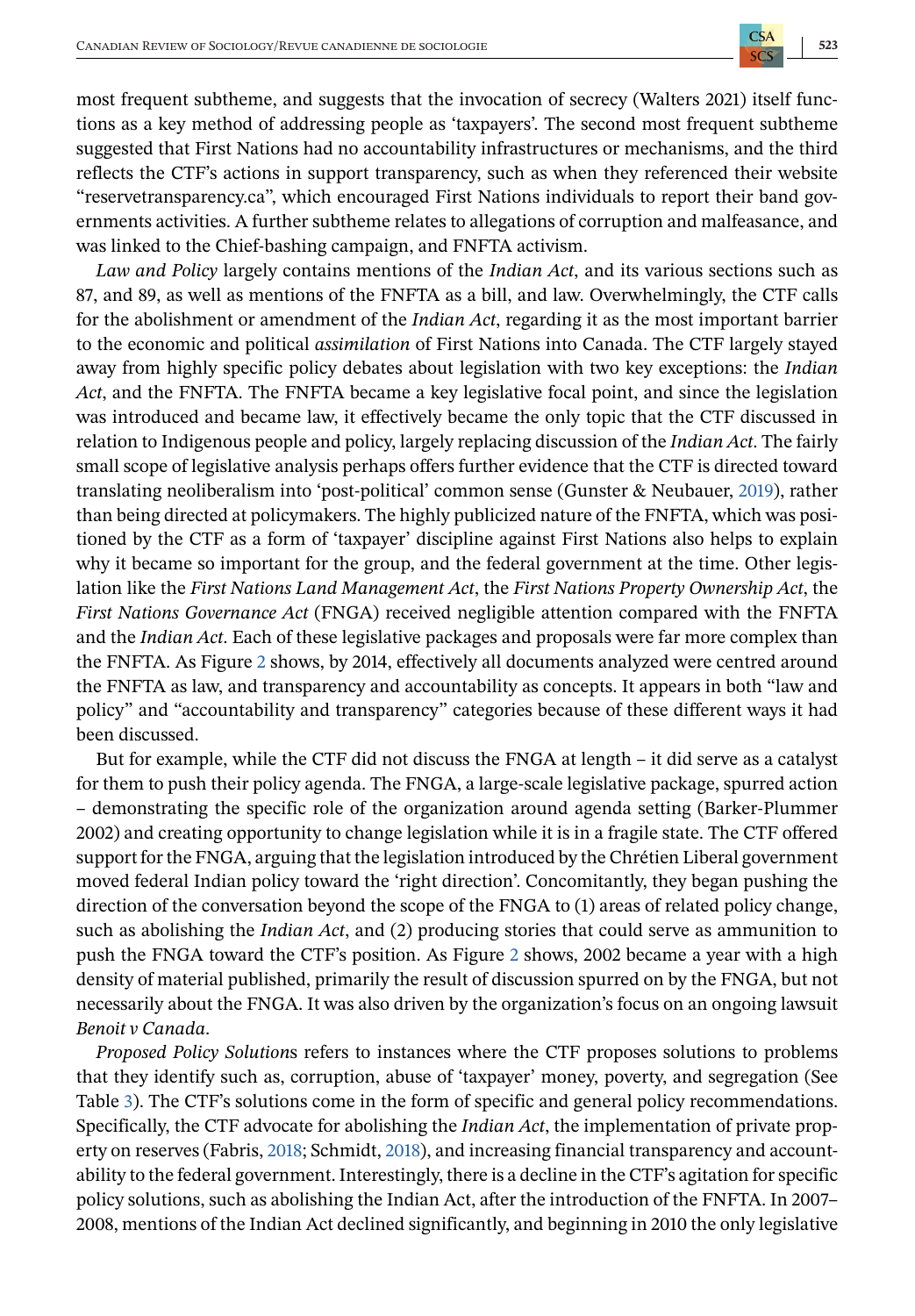most frequent subtheme, and suggests that the invocation of secrecy (Walters 2021) itself functions as a key method of addressing people as 'taxpayers'. The second most frequent subtheme suggested that First Nations had no accountability infrastructures or mechanisms, and the third reflects the CTF's actions in support transparency, such as when they referenced their website "reservetransparency.ca", which encouraged First Nations individuals to report their band governments activities. A further subtheme relates to allegations of corruption and malfeasance, and was linked to the Chief-bashing campaign, and FNFTA activism.

*Law and Policy* largely contains mentions of the *Indian Act*, and its various sections such as 87, and 89, as well as mentions of the FNFTA as a bill, and law. Overwhelmingly, the CTF calls for the abolishment or amendment of the *Indian Act*, regarding it as the most important barrier to the economic and political *assimilation* of First Nations into Canada. The CTF largely stayed away from highly specific policy debates about legislation with two key exceptions: the *Indian Act*, and the FNFTA. The FNFTA became a key legislative focal point, and since the legislation was introduced and became law, it effectively became the only topic that the CTF discussed in relation to Indigenous people and policy, largely replacing discussion of the *Indian Act*. The fairly small scope of legislative analysis perhaps offers further evidence that the CTF is directed toward translating neoliberalism into 'post-political' common sense (Gunster & Neubauer, [2019\)](#page-15-0), rather than being directed at policymakers. The highly publicized nature of the FNFTA, which was positioned by the CTF as a form of 'taxpayer' discipline against First Nations also helps to explain why it became so important for the group, and the federal government at the time. Other legislation like the *First Nations Land Management Act*, the *First Nations Property Ownership Act*, the *First Nations Governance Act* (FNGA) received negligible attention compared with the FNFTA and the *Indian Act*. Each of these legislative packages and proposals were far more complex than the FNFTA. As Figure [2](#page-7-0) shows, by 2014, effectively all documents analyzed were centred around the FNFTA as law, and transparency and accountability as concepts. It appears in both "law and policy" and "accountability and transparency" categories because of these different ways it had been discussed.

But for example, while the CTF did not discuss the FNGA at length – it did serve as a catalyst for them to push their policy agenda. The FNGA, a large-scale legislative package, spurred action – demonstrating the specific role of the organization around agenda setting (Barker-Plummer 2002) and creating opportunity to change legislation while it is in a fragile state. The CTF offered support for the FNGA, arguing that the legislation introduced by the Chrétien Liberal government moved federal Indian policy toward the 'right direction'. Concomitantly, they began pushing the direction of the conversation beyond the scope of the FNGA to (1) areas of related policy change, such as abolishing the *Indian Act*, and (2) producing stories that could serve as ammunition to push the FNGA toward the CTF's position. As Figure [2](#page-7-0) shows, 2002 became a year with a high density of material published, primarily the result of discussion spurred on by the FNGA, but not necessarily about the FNGA. It was also driven by the organization's focus on an ongoing lawsuit *Benoit v Canada*.

*Proposed Policy Solution*s refers to instances where the CTF proposes solutions to problems that they identify such as, corruption, abuse of 'taxpayer' money, poverty, and segregation (See Table [3\)](#page-11-0). The CTF's solutions come in the form of specific and general policy recommendations. Specifically, the CTF advocate for abolishing the *Indian Act*, the implementation of private property on reserves (Fabris, [2018;](#page-15-0) Schmidt, [2018\)](#page-16-0), and increasing financial transparency and accountability to the federal government. Interestingly, there is a decline in the CTF's agitation for specific policy solutions, such as abolishing the Indian Act, after the introduction of the FNFTA. In 2007– 2008, mentions of the Indian Act declined significantly, and beginning in 2010 the only legislative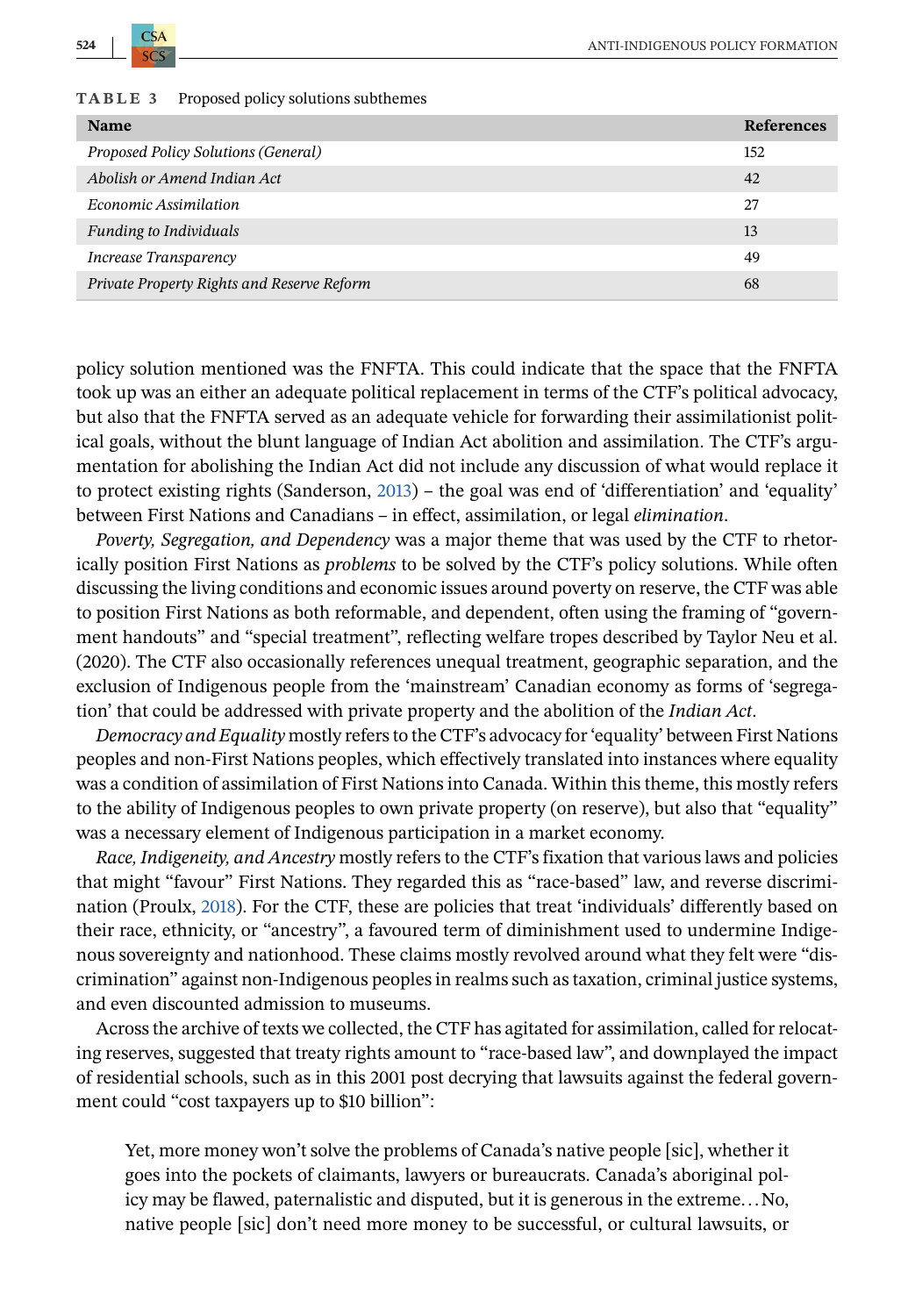<span id="page-11-0"></span>

|  |  | TABLE 3 |  |  |  |  |  | Proposed policy solutions subthemes |  |
|--|--|---------|--|--|--|--|--|-------------------------------------|--|
|--|--|---------|--|--|--|--|--|-------------------------------------|--|

| <b>Name</b>                                | <b>References</b> |
|--------------------------------------------|-------------------|
| Proposed Policy Solutions (General)        | 152               |
| Abolish or Amend Indian Act                | 42                |
| Economic Assimilation                      | 27                |
| <b>Funding to Individuals</b>              | 13                |
| Increase Transparency                      | 49                |
| Private Property Rights and Reserve Reform | 68                |

policy solution mentioned was the FNFTA. This could indicate that the space that the FNFTA took up was an either an adequate political replacement in terms of the CTF's political advocacy, but also that the FNFTA served as an adequate vehicle for forwarding their assimilationist political goals, without the blunt language of Indian Act abolition and assimilation. The CTF's argumentation for abolishing the Indian Act did not include any discussion of what would replace it to protect existing rights (Sanderson, [2013\)](#page-16-0) – the goal was end of 'differentiation' and 'equality' between First Nations and Canadians – in effect, assimilation, or legal *elimination*.

*Poverty, Segregation, and Dependency* was a major theme that was used by the CTF to rhetorically position First Nations as *problems* to be solved by the CTF's policy solutions. While often discussing the living conditions and economic issues around poverty on reserve, the CTF was able to position First Nations as both reformable, and dependent, often using the framing of "government handouts" and "special treatment", reflecting welfare tropes described by Taylor Neu et al. (2020). The CTF also occasionally references unequal treatment, geographic separation, and the exclusion of Indigenous people from the 'mainstream' Canadian economy as forms of 'segregation' that could be addressed with private property and the abolition of the *Indian Act*.

*Democracy and Equality* mostly refers to the CTF's advocacy for 'equality' between First Nations peoples and non-First Nations peoples, which effectively translated into instances where equality was a condition of assimilation of First Nations into Canada. Within this theme, this mostly refers to the ability of Indigenous peoples to own private property (on reserve), but also that "equality" was a necessary element of Indigenous participation in a market economy.

*Race, Indigeneity, and Ancestry* mostly refers to the CTF's fixation that various laws and policies that might "favour" First Nations. They regarded this as "race-based" law, and reverse discrimination (Proulx, [2018\)](#page-16-0). For the CTF, these are policies that treat 'individuals' differently based on their race, ethnicity, or "ancestry", a favoured term of diminishment used to undermine Indigenous sovereignty and nationhood. These claims mostly revolved around what they felt were "discrimination" against non-Indigenous peoples in realms such as taxation, criminal justice systems, and even discounted admission to museums.

Across the archive of texts we collected, the CTF has agitated for assimilation, called for relocating reserves, suggested that treaty rights amount to "race-based law", and downplayed the impact of residential schools, such as in this 2001 post decrying that lawsuits against the federal government could "cost taxpayers up to \$10 billion":

Yet, more money won't solve the problems of Canada's native people [sic], whether it goes into the pockets of claimants, lawyers or bureaucrats. Canada's aboriginal policy may be flawed, paternalistic and disputed, but it is generous in the extreme...No, native people [sic] don't need more money to be successful, or cultural lawsuits, or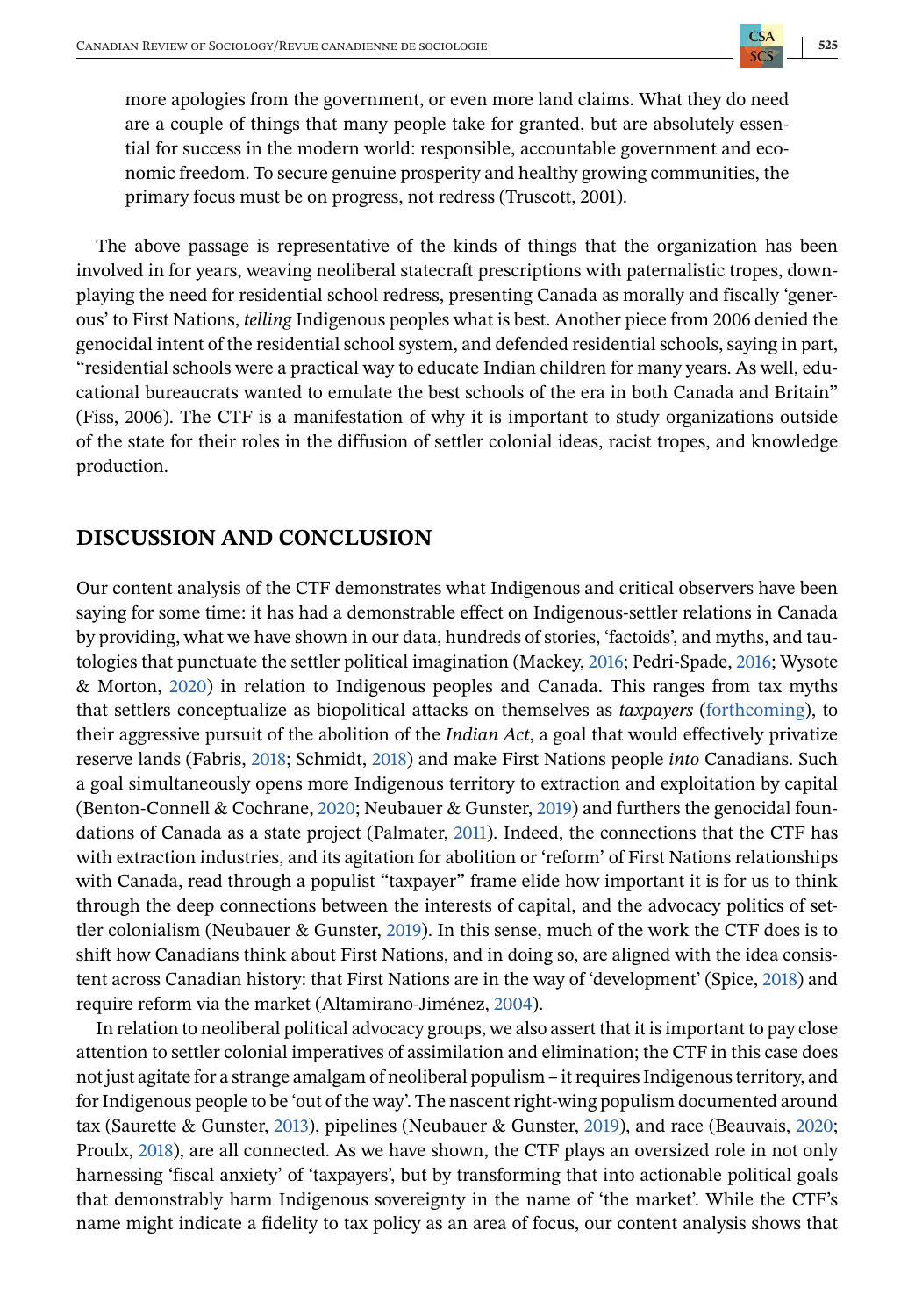more apologies from the government, or even more land claims. What they do need are a couple of things that many people take for granted, but are absolutely essential for success in the modern world: responsible, accountable government and economic freedom. To secure genuine prosperity and healthy growing communities, the primary focus must be on progress, not redress (Truscott, 2001).

The above passage is representative of the kinds of things that the organization has been involved in for years, weaving neoliberal statecraft prescriptions with paternalistic tropes, downplaying the need for residential school redress, presenting Canada as morally and fiscally 'generous' to First Nations, *telling* Indigenous peoples what is best. Another piece from 2006 denied the genocidal intent of the residential school system, and defended residential schools, saying in part, "residential schools were a practical way to educate Indian children for many years. As well, educational bureaucrats wanted to emulate the best schools of the era in both Canada and Britain" (Fiss, 2006). The CTF is a manifestation of why it is important to study organizations outside of the state for their roles in the diffusion of settler colonial ideas, racist tropes, and knowledge production.

# **DISCUSSION AND CONCLUSION**

Our content analysis of the CTF demonstrates what Indigenous and critical observers have been saying for some time: it has had a demonstrable effect on Indigenous-settler relations in Canada by providing, what we have shown in our data, hundreds of stories, 'factoids', and myths, and tautologies that punctuate the settler political imagination (Mackey, [2016;](#page-16-0) Pedri-Spade, [2016;](#page-16-0) Wysote & Morton, [2020\)](#page-17-0) in relation to Indigenous peoples and Canada. This ranges from tax myths that settlers conceptualize as biopolitical attacks on themselves as *taxpayers* [\(forthcoming\)](#page-17-0), to their aggressive pursuit of the abolition of the *Indian Act*, a goal that would effectively privatize reserve lands (Fabris, [2018;](#page-15-0) Schmidt, [2018\)](#page-16-0) and make First Nations people *into* Canadians. Such a goal simultaneously opens more Indigenous territory to extraction and exploitation by capital (Benton-Connell & Cochrane, [2020;](#page-14-0) Neubauer & Gunster, [2019\)](#page-16-0) and furthers the genocidal foundations of Canada as a state project (Palmater, [2011\)](#page-16-0). Indeed, the connections that the CTF has with extraction industries, and its agitation for abolition or 'reform' of First Nations relationships with Canada, read through a populist "taxpayer" frame elide how important it is for us to think through the deep connections between the interests of capital, and the advocacy politics of settler colonialism (Neubauer & Gunster, [2019\)](#page-16-0). In this sense, much of the work the CTF does is to shift how Canadians think about First Nations, and in doing so, are aligned with the idea consistent across Canadian history: that First Nations are in the way of 'development' (Spice, [2018\)](#page-17-0) and require reform via the market (Altamirano-Jiménez, [2004\)](#page-14-0).

In relation to neoliberal political advocacy groups, we also assert that it is important to pay close attention to settler colonial imperatives of assimilation and elimination; the CTF in this case does not just agitate for a strange amalgam of neoliberal populism – it requires Indigenous territory, and for Indigenous people to be 'out of the way'. The nascent right-wing populism documented around tax (Saurette & Gunster, [2013\)](#page-16-0), pipelines (Neubauer & Gunster, [2019\)](#page-16-0), and race (Beauvais, [2020;](#page-14-0) Proulx, [2018\)](#page-16-0), are all connected. As we have shown, the CTF plays an oversized role in not only harnessing 'fiscal anxiety' of 'taxpayers', but by transforming that into actionable political goals that demonstrably harm Indigenous sovereignty in the name of 'the market'. While the CTF's name might indicate a fidelity to tax policy as an area of focus, our content analysis shows that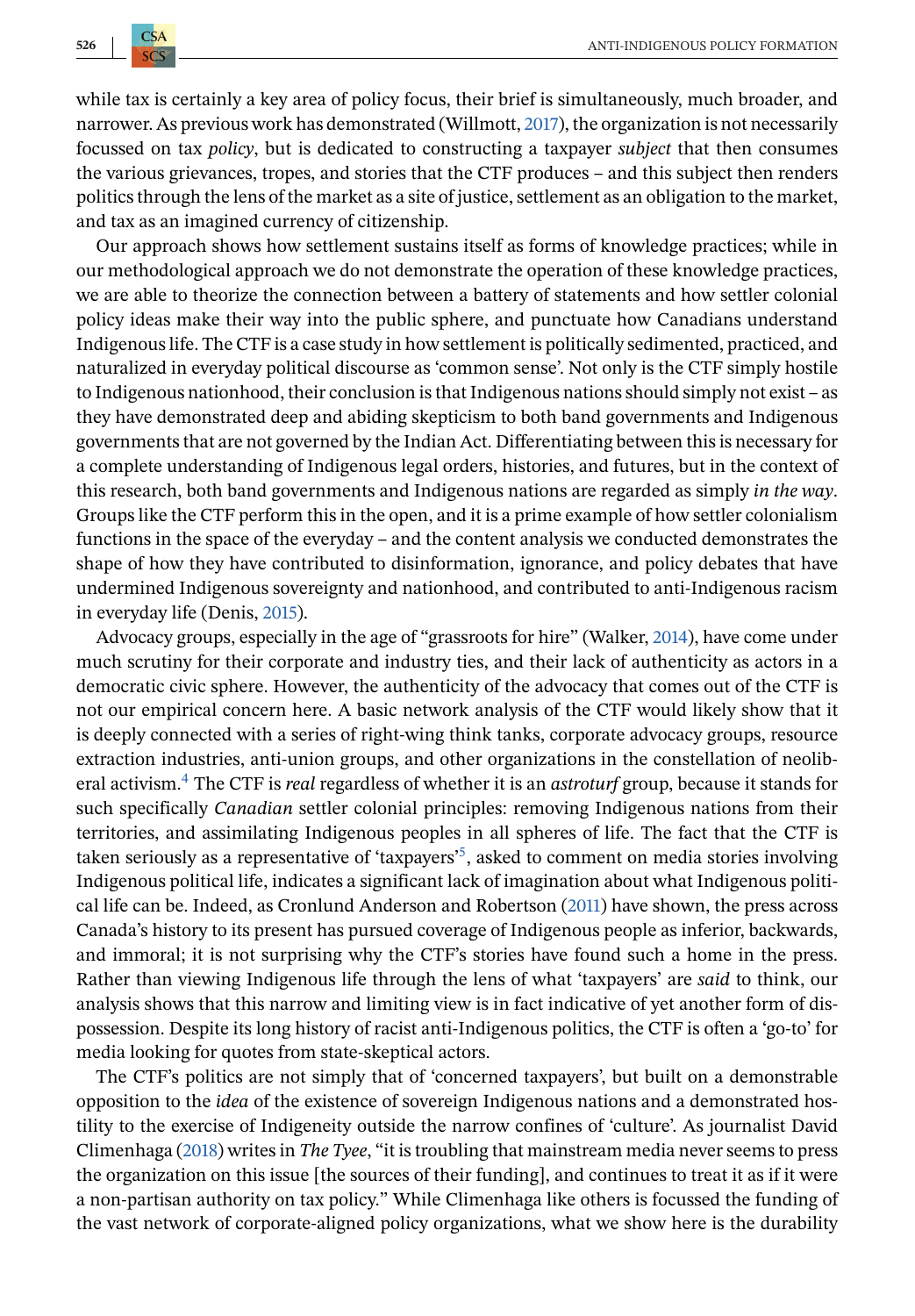$CSA$ 

while tax is certainly a key area of policy focus, their brief is simultaneously, much broader, and narrower. As previous work has demonstrated (Willmott, [2017\)](#page-17-0), the organization is not necessarily focussed on tax *policy*, but is dedicated to constructing a taxpayer *subject* that then consumes the various grievances, tropes, and stories that the CTF produces – and this subject then renders politics through the lens of the market as a site of justice, settlement as an obligation to the market, and tax as an imagined currency of citizenship.

Our approach shows how settlement sustains itself as forms of knowledge practices; while in our methodological approach we do not demonstrate the operation of these knowledge practices, we are able to theorize the connection between a battery of statements and how settler colonial policy ideas make their way into the public sphere, and punctuate how Canadians understand Indigenous life. The CTF is a case study in how settlement is politically sedimented, practiced, and naturalized in everyday political discourse as 'common sense'. Not only is the CTF simply hostile to Indigenous nationhood, their conclusion is that Indigenous nations should simply not exist – as they have demonstrated deep and abiding skepticism to both band governments and Indigenous governments that are not governed by the Indian Act. Differentiating between this is necessary for a complete understanding of Indigenous legal orders, histories, and futures, but in the context of this research, both band governments and Indigenous nations are regarded as simply *in the way*. Groups like the CTF perform this in the open, and it is a prime example of how settler colonialism functions in the space of the everyday – and the content analysis we conducted demonstrates the shape of how they have contributed to disinformation, ignorance, and policy debates that have undermined Indigenous sovereignty and nationhood, and contributed to anti-Indigenous racism in everyday life (Denis, [2015\)](#page-15-0).

Advocacy groups, especially in the age of "grassroots for hire" (Walker, [2014\)](#page-17-0), have come under much scrutiny for their corporate and industry ties, and their lack of authenticity as actors in a democratic civic sphere. However, the authenticity of the advocacy that comes out of the CTF is not our empirical concern here. A basic network analysis of the CTF would likely show that it is deeply connected with a series of right-wing think tanks, corporate advocacy groups, resource extraction industries, anti-union groups, and other organizations in the constellation of neoliberal activism[.](#page-14-0)4 The CTF is *real* regardless of whether it is an *astroturf* group, because it stands for such specifically *Canadian* settler colonial principles: removing Indigenous nations from their territories, and assimilating Indigenous peoples in all spheres of life. The fact that the CTF is taken seriously as a representative of 'taxpayers['](#page-14-0)5[,](#page-14-0) asked to comment on media stories involving Indigenous political life, indicates a significant lack of imagination about what Indigenous political life can be. Indeed, as Cronlund Anderson and Robertson [\(2011\)](#page-15-0) have shown, the press across Canada's history to its present has pursued coverage of Indigenous people as inferior, backwards, and immoral; it is not surprising why the CTF's stories have found such a home in the press. Rather than viewing Indigenous life through the lens of what 'taxpayers' are *said* to think, our analysis shows that this narrow and limiting view is in fact indicative of yet another form of dispossession. Despite its long history of racist anti-Indigenous politics, the CTF is often a 'go-to' for media looking for quotes from state-skeptical actors.

The CTF's politics are not simply that of 'concerned taxpayers', but built on a demonstrable opposition to the *idea* of the existence of sovereign Indigenous nations and a demonstrated hostility to the exercise of Indigeneity outside the narrow confines of 'culture'. As journalist David Climenhaga [\(2018\)](#page-15-0) writes in *The Tyee*, "it is troubling that mainstream media never seems to press the organization on this issue [the sources of their funding], and continues to treat it as if it were a non-partisan authority on tax policy." While Climenhaga like others is focussed the funding of the vast network of corporate-aligned policy organizations, what we show here is the durability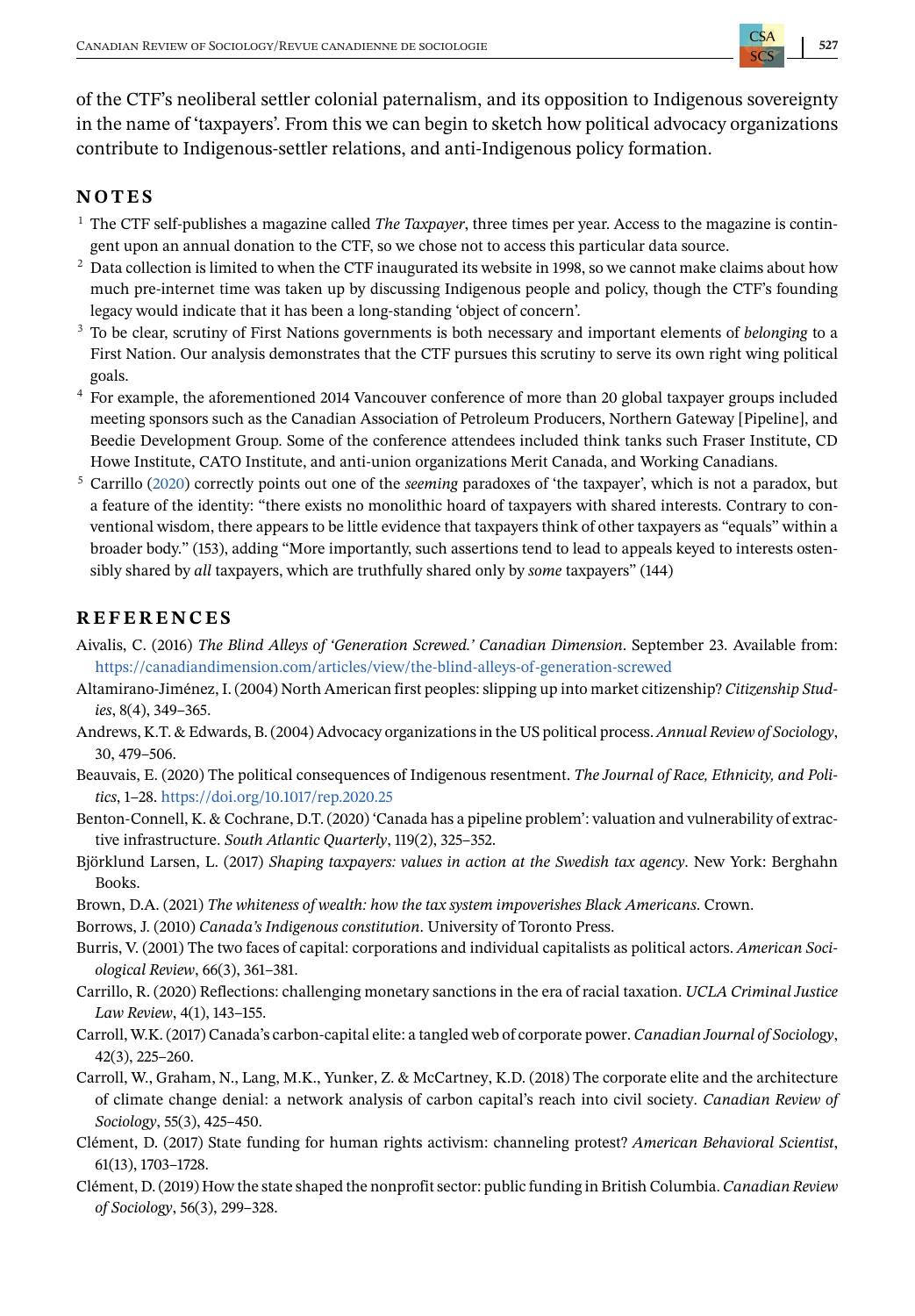<span id="page-14-0"></span>of the CTF's neoliberal settler colonial paternalism, and its opposition to Indigenous sovereignty in the name of 'taxpayers'. From this we can begin to sketch how political advocacy organizations contribute to Indigenous-settler relations, and anti-Indigenous policy formation.

#### **NOTES**

- <sup>1</sup> The CTF self-publishes a magazine called *The Taxpayer*, three times per year. Access to the magazine is contingent upon an annual donation to the CTF, so we chose not to access this particular data source.
- <sup>2</sup> Data collection is limited to when the CTF inaugurated its website in 1998, so we cannot make claims about how much pre-internet time was taken up by discussing Indigenous people and policy, though the CTF's founding legacy would indicate that it has been a long-standing 'object of concern'.
- <sup>3</sup> To be clear, scrutiny of First Nations governments is both necessary and important elements of *belonging* to a First Nation. Our analysis demonstrates that the CTF pursues this scrutiny to serve its own right wing political goals.
- <sup>4</sup> For example, the aforementioned 2014 Vancouver conference of more than 20 global taxpayer groups included meeting sponsors such as the Canadian Association of Petroleum Producers, Northern Gateway [Pipeline], and Beedie Development Group. Some of the conference attendees included think tanks such Fraser Institute, CD Howe Institute, CATO Institute, and anti-union organizations Merit Canada, and Working Canadians.
- <sup>5</sup> Carrillo (2020) correctly points out one of the *seeming* paradoxes of 'the taxpayer', which is not a paradox, but a feature of the identity: "there exists no monolithic hoard of taxpayers with shared interests. Contrary to conventional wisdom, there appears to be little evidence that taxpayers think of other taxpayers as "equals" within a broader body." (153), adding "More importantly, such assertions tend to lead to appeals keyed to interests ostensibly shared by *all* taxpayers, which are truthfully shared only by *some* taxpayers" (144)

## **REFERENCES**

- Aivalis, C. (2016) *The Blind Alleys of 'Generation Screwed.' Canadian Dimension*. September 23. Available from: <https://canadiandimension.com/articles/view/the-blind-alleys-of-generation-screwed>
- Altamirano-Jiménez, I. (2004) North American first peoples: slipping up into market citizenship? *Citizenship Studies*, 8(4), 349–365.
- Andrews, K.T. & Edwards, B. (2004) Advocacy organizations in the US political process.*Annual Review of Sociology*, 30, 479–506.
- Beauvais, E. (2020) The political consequences of Indigenous resentment. *The Journal of Race, Ethnicity, and Politics*, 1–28. <https://doi.org/10.1017/rep.2020.25>
- Benton-Connell, K. & Cochrane, D.T. (2020) 'Canada has a pipeline problem': valuation and vulnerability of extractive infrastructure. *South Atlantic Quarterly*, 119(2), 325–352.
- Björklund Larsen, L. (2017) *Shaping taxpayers: values in action at the Swedish tax agency*. New York: Berghahn Books.
- Brown, D.A. (2021) *The whiteness of wealth: how the tax system impoverishes Black Americans*. Crown.
- Borrows, J. (2010) *Canada's Indigenous constitution*. University of Toronto Press.
- Burris, V. (2001) The two faces of capital: corporations and individual capitalists as political actors. *American Sociological Review*, 66(3), 361–381.
- Carrillo, R. (2020) Reflections: challenging monetary sanctions in the era of racial taxation. *UCLA Criminal Justice Law Review*, 4(1), 143–155.
- Carroll, W.K. (2017) Canada's carbon-capital elite: a tangled web of corporate power. *Canadian Journal of Sociology*, 42(3), 225–260.
- Carroll, W., Graham, N., Lang, M.K., Yunker, Z. & McCartney, K.D. (2018) The corporate elite and the architecture of climate change denial: a network analysis of carbon capital's reach into civil society. *Canadian Review of Sociology*, 55(3), 425–450.
- Clément, D. (2017) State funding for human rights activism: channeling protest? *American Behavioral Scientist*, 61(13), 1703–1728.
- Clément, D. (2019) How the state shaped the nonprofit sector: public funding in British Columbia. *Canadian Review of Sociology*, 56(3), 299–328.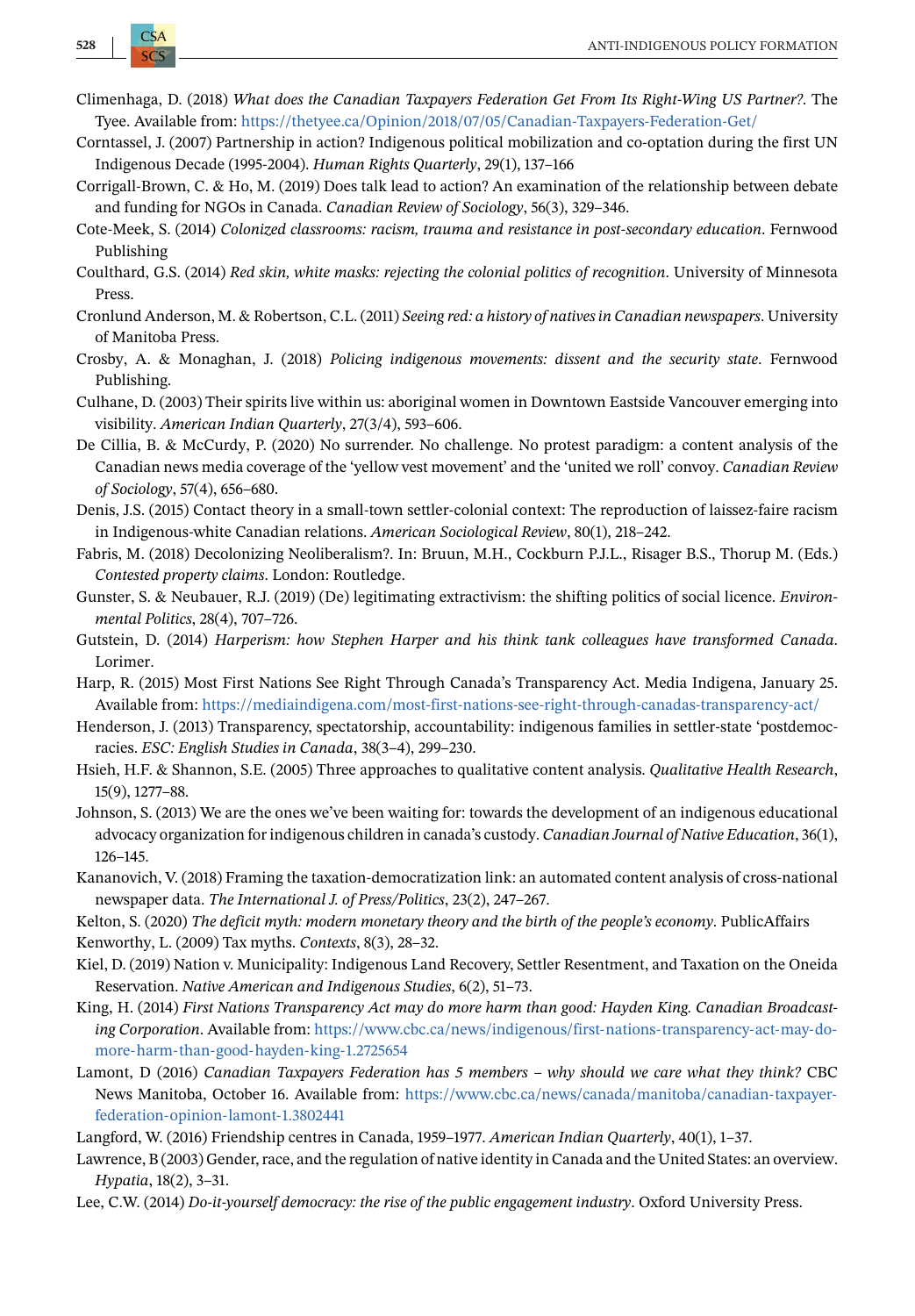- <span id="page-15-0"></span>Climenhaga, D. (2018) *What does the Canadian Taxpayers Federation Get From Its Right-Wing US Partner?*. The Tyee. Available from: <https://thetyee.ca/Opinion/2018/07/05/Canadian-Taxpayers-Federation-Get/>
- Corntassel, J. (2007) Partnership in action? Indigenous political mobilization and co-optation during the first UN Indigenous Decade (1995-2004). *Human Rights Quarterly*, 29(1), 137–166
- Corrigall-Brown, C. & Ho, M. (2019) Does talk lead to action? An examination of the relationship between debate and funding for NGOs in Canada. *Canadian Review of Sociology*, 56(3), 329–346.
- Cote-Meek, S. (2014) *Colonized classrooms: racism, trauma and resistance in post-secondary education*. Fernwood Publishing
- Coulthard, G.S. (2014) *Red skin, white masks: rejecting the colonial politics of recognition*. University of Minnesota Press.
- Cronlund Anderson, M. & Robertson, C.L. (2011) *Seeing red: a history of natives in Canadian newspapers*. University of Manitoba Press.
- Crosby, A. & Monaghan, J. (2018) *Policing indigenous movements: dissent and the security state*. Fernwood Publishing.
- Culhane, D. (2003) Their spirits live within us: aboriginal women in Downtown Eastside Vancouver emerging into visibility. *American Indian Quarterly*, 27(3/4), 593–606.
- De Cillia, B. & McCurdy, P. (2020) No surrender. No challenge. No protest paradigm: a content analysis of the Canadian news media coverage of the 'yellow vest movement' and the 'united we roll' convoy. *Canadian Review of Sociology*, 57(4), 656–680.
- Denis, J.S. (2015) Contact theory in a small-town settler-colonial context: The reproduction of laissez-faire racism in Indigenous-white Canadian relations. *American Sociological Review*, 80(1), 218–242.
- Fabris, M. (2018) Decolonizing Neoliberalism?. In: Bruun, M.H., Cockburn P.J.L., Risager B.S., Thorup M. (Eds.) *Contested property claims*. London: Routledge.
- Gunster, S. & Neubauer, R.J. (2019) (De) legitimating extractivism: the shifting politics of social licence. *Environmental Politics*, 28(4), 707–726.
- Gutstein, D. (2014) *Harperism: how Stephen Harper and his think tank colleagues have transformed Canada*. Lorimer.
- Harp, R. (2015) Most First Nations See Right Through Canada's Transparency Act. Media Indigena, January 25. Available from: <https://mediaindigena.com/most-first-nations-see-right-through-canadas-transparency-act/>
- Henderson, J. (2013) Transparency, spectatorship, accountability: indigenous families in settler-state 'postdemocracies. *ESC: English Studies in Canada*, 38(3–4), 299–230.
- Hsieh, H.F. & Shannon, S.E. (2005) Three approaches to qualitative content analysis. *Qualitative Health Research*, 15(9), 1277–88.
- Johnson, S. (2013) We are the ones we've been waiting for: towards the development of an indigenous educational advocacy organization for indigenous children in canada's custody. *Canadian Journal of Native Education*, 36(1), 126–145.
- Kananovich, V. (2018) Framing the taxation-democratization link: an automated content analysis of cross-national newspaper data. *The International J. of Press/Politics*, 23(2), 247–267.
- Kelton, S. (2020) *The deficit myth: modern monetary theory and the birth of the people's economy*. PublicAffairs Kenworthy, L. (2009) Tax myths. *Contexts*, 8(3), 28–32.
- Kiel, D. (2019) Nation v. Municipality: Indigenous Land Recovery, Settler Resentment, and Taxation on the Oneida Reservation. *Native American and Indigenous Studies*, 6(2), 51–73.
- King, H. (2014) *First Nations Transparency Act may do more harm than good: Hayden King. Canadian Broadcasting Corporation*. Available from: [https://www.cbc.ca/news/indigenous/first-nations-transparency-act-may-do](https://www.cbc.ca/news/indigenous/first-nations-transparency-act-may-do-more-harm-than-good-hayden-king-1.2725654)[more-harm-than-good-hayden-king-1.2725654](https://www.cbc.ca/news/indigenous/first-nations-transparency-act-may-do-more-harm-than-good-hayden-king-1.2725654)
- Lamont, D (2016) *Canadian Taxpayers Federation has 5 members why should we care what they think?* CBC News Manitoba, October 16. Available from: [https://www.cbc.ca/news/canada/manitoba/canadian-taxpayer](https://www.cbc.ca/news/canada/manitoba/canadian-taxpayer-federation-opinion-lamont-1.3802441)[federation-opinion-lamont-1.3802441](https://www.cbc.ca/news/canada/manitoba/canadian-taxpayer-federation-opinion-lamont-1.3802441)
- Langford, W. (2016) Friendship centres in Canada, 1959–1977. *American Indian Quarterly*, 40(1), 1–37.
- Lawrence, B (2003) Gender, race, and the regulation of native identity in Canada and the United States: an overview. *Hypatia*, 18(2), 3–31.
- Lee, C.W. (2014) *Do-it-yourself democracy: the rise of the public engagement industry*. Oxford University Press.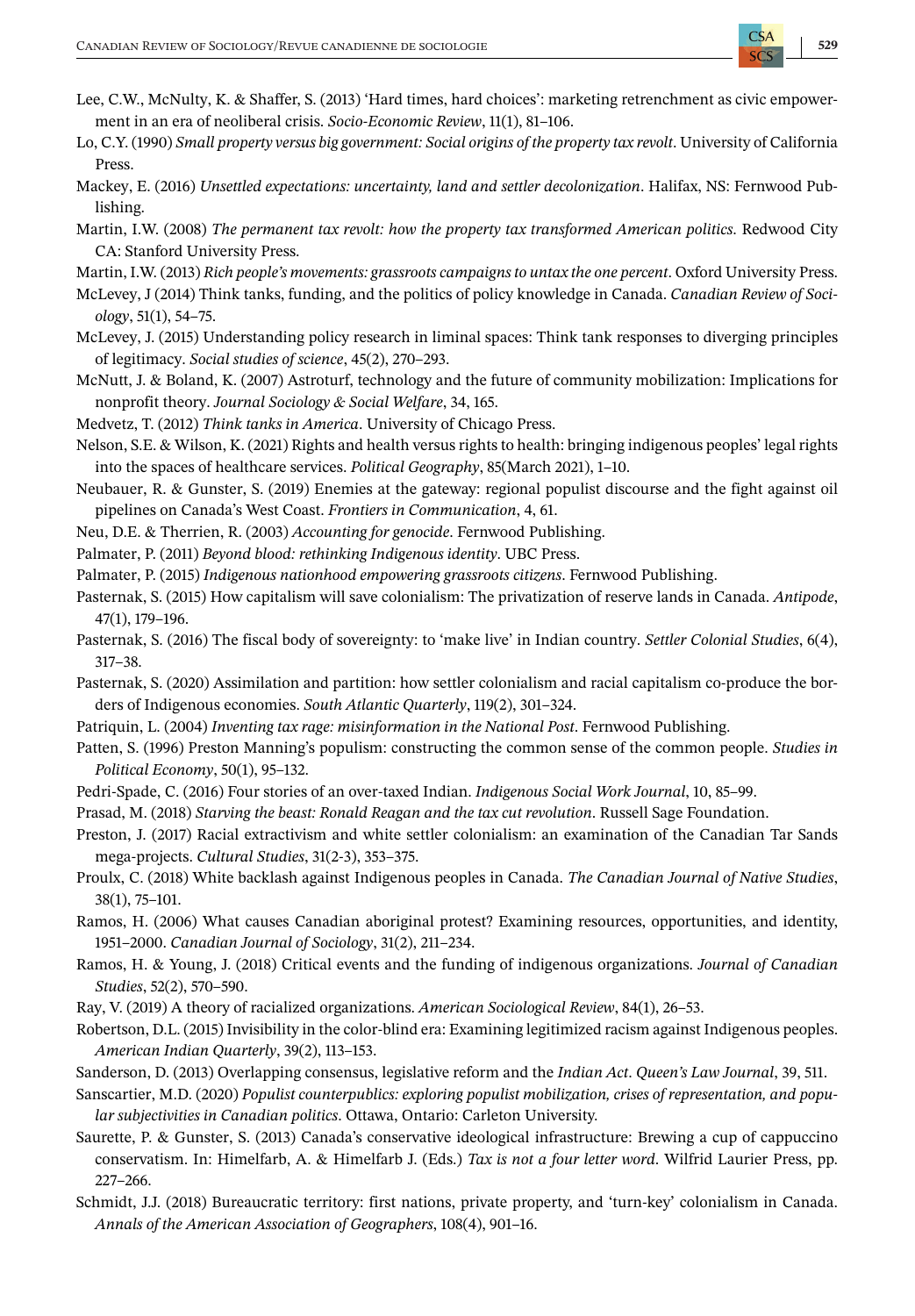- <span id="page-16-0"></span>Lee, C.W., McNulty, K. & Shaffer, S. (2013) 'Hard times, hard choices': marketing retrenchment as civic empowerment in an era of neoliberal crisis. *Socio-Economic Review*, 11(1), 81–106.
- Lo, C.Y. (1990) *Small property versus big government: Social origins of the property tax revolt*. University of California Press.
- Mackey, E. (2016) *Unsettled expectations: uncertainty, land and settler decolonization*. Halifax, NS: Fernwood Publishing.
- Martin, I.W. (2008) *The permanent tax revolt: how the property tax transformed American politics*. Redwood City CA: Stanford University Press.
- Martin, I.W. (2013) *Rich people's movements: grassroots campaigns to untax the one percent*. Oxford University Press.
- McLevey, J (2014) Think tanks, funding, and the politics of policy knowledge in Canada. *Canadian Review of Sociology*, 51(1), 54–75.
- McLevey, J. (2015) Understanding policy research in liminal spaces: Think tank responses to diverging principles of legitimacy. *Social studies of science*, 45(2), 270–293.
- McNutt, J. & Boland, K. (2007) Astroturf, technology and the future of community mobilization: Implications for nonprofit theory. *Journal Sociology & Social Welfare*, 34, 165.
- Medvetz, T. (2012) *Think tanks in America*. University of Chicago Press.
- Nelson, S.E. & Wilson, K. (2021) Rights and health versus rights to health: bringing indigenous peoples' legal rights into the spaces of healthcare services. *Political Geography*, 85(March 2021), 1–10.
- Neubauer, R. & Gunster, S. (2019) Enemies at the gateway: regional populist discourse and the fight against oil pipelines on Canada's West Coast. *Frontiers in Communication*, 4, 61.
- Neu, D.E. & Therrien, R. (2003) *Accounting for genocide*. Fernwood Publishing.
- Palmater, P. (2011) *Beyond blood: rethinking Indigenous identity*. UBC Press.
- Palmater, P. (2015) *Indigenous nationhood empowering grassroots citizens*. Fernwood Publishing.
- Pasternak, S. (2015) How capitalism will save colonialism: The privatization of reserve lands in Canada. *Antipode*, 47(1), 179–196.
- Pasternak, S. (2016) The fiscal body of sovereignty: to 'make live' in Indian country. *Settler Colonial Studies*, 6(4), 317–38.
- Pasternak, S. (2020) Assimilation and partition: how settler colonialism and racial capitalism co-produce the borders of Indigenous economies. *South Atlantic Quarterly*, 119(2), 301–324.
- Patriquin, L. (2004) *Inventing tax rage: misinformation in the National Post*. Fernwood Publishing.
- Patten, S. (1996) Preston Manning's populism: constructing the common sense of the common people. *Studies in Political Economy*, 50(1), 95–132.
- Pedri-Spade, C. (2016) Four stories of an over-taxed Indian. *Indigenous Social Work Journal*, 10, 85–99.
- Prasad, M. (2018) *Starving the beast: Ronald Reagan and the tax cut revolution*. Russell Sage Foundation.
- Preston, J. (2017) Racial extractivism and white settler colonialism: an examination of the Canadian Tar Sands mega-projects. *Cultural Studies*, 31(2-3), 353–375.
- Proulx, C. (2018) White backlash against Indigenous peoples in Canada. *The Canadian Journal of Native Studies*, 38(1), 75–101.
- Ramos, H. (2006) What causes Canadian aboriginal protest? Examining resources, opportunities, and identity, 1951–2000. *Canadian Journal of Sociology*, 31(2), 211–234.
- Ramos, H. & Young, J. (2018) Critical events and the funding of indigenous organizations. *Journal of Canadian Studies*, 52(2), 570–590.
- Ray, V. (2019) A theory of racialized organizations. *American Sociological Review*, 84(1), 26–53.
- Robertson, D.L. (2015) Invisibility in the color-blind era: Examining legitimized racism against Indigenous peoples. *American Indian Quarterly*, 39(2), 113–153.
- Sanderson, D. (2013) Overlapping consensus, legislative reform and the *Indian Act*. *Queen's Law Journal*, 39, 511.
- Sanscartier, M.D. (2020) *Populist counterpublics: exploring populist mobilization, crises of representation, and popular subjectivities in Canadian politics*. Ottawa, Ontario: Carleton University.
- Saurette, P. & Gunster, S. (2013) Canada's conservative ideological infrastructure: Brewing a cup of cappuccino conservatism. In: Himelfarb, A. & Himelfarb J. (Eds.) *Tax is not a four letter word*. Wilfrid Laurier Press, pp. 227–266.
- Schmidt, J.J. (2018) Bureaucratic territory: first nations, private property, and 'turn-key' colonialism in Canada. *Annals of the American Association of Geographers*, 108(4), 901–16.